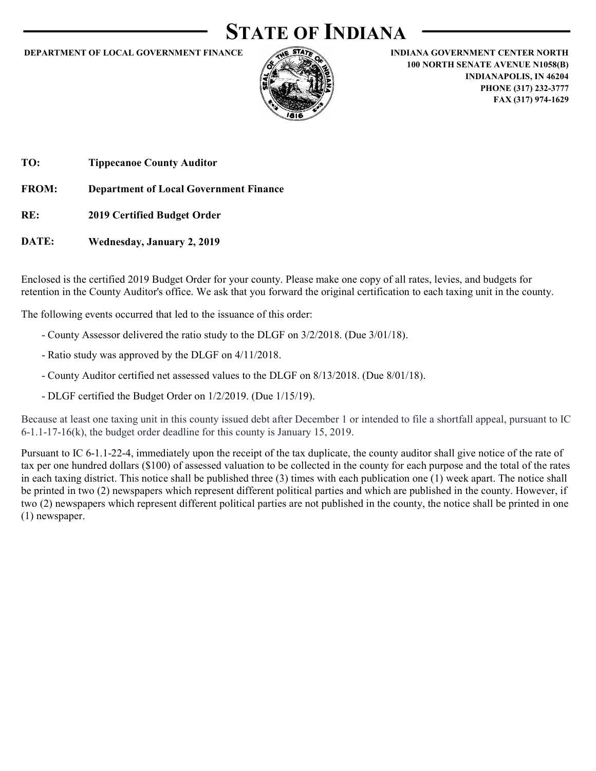### STATE OF INDIANA



DEPARTMENT OF LOCAL GOVERNMENT FINANCE<br>
DEPARTMENT OF LOCAL GOVERNMENT FINANCE<br>
INDIANA GOVERNMENT CENTER NORTH<br>
IO NORTH SENATE AVENUE NORS<br>
PHONE (317) 232-3777<br>
FAX (317) 974-1629 100 NORTH SENATE AVENUE N1058(B) INDIANAPOLIS, IN 46204 PHONE (317) 232-3777 FAX (317) 974-1629

TO: Tippecanoe County Auditor

DATE: Wednesday, January 2, 2019

Enclosed is the certified 2019 Budget Order for your county. Please make one copy of all rates, levies, and budgets for retention in the County Auditor's office. We ask that you forward the original certification to each taxing unit in the county.

The following events occurred that led to the issuance of this order:

- County Assessor delivered the ratio study to the DLGF on 3/2/2018. (Due 3/01/18).
- Ratio study was approved by the DLGF on 4/11/2018.
- County Auditor certified net assessed values to the DLGF on 8/13/2018. (Due 8/01/18).
- DLGF certified the Budget Order on 1/2/2019. (Due 1/15/19).

Because at least one taxing unit in this county issued debt after December 1 or intended to file a shortfall appeal, pursuant to IC 6-1.1-17-16(k), the budget order deadline for this county is January 15, 2019.

Pursuant to IC 6-1.1-22-4, immediately upon the receipt of the tax duplicate, the county auditor shall give notice of the rate of tax per one hundred dollars (\$100) of assessed valuation to be collected in the county for each purpose and the total of the rates in each taxing district. This notice shall be published three (3) times with each publication one (1) week apart. The notice shall be printed in two (2) newspapers which represent different political parties and which are published in the county. However, if two (2) newspapers which represent different political parties are not published in the county, the notice shall be printed in one (1) newspaper.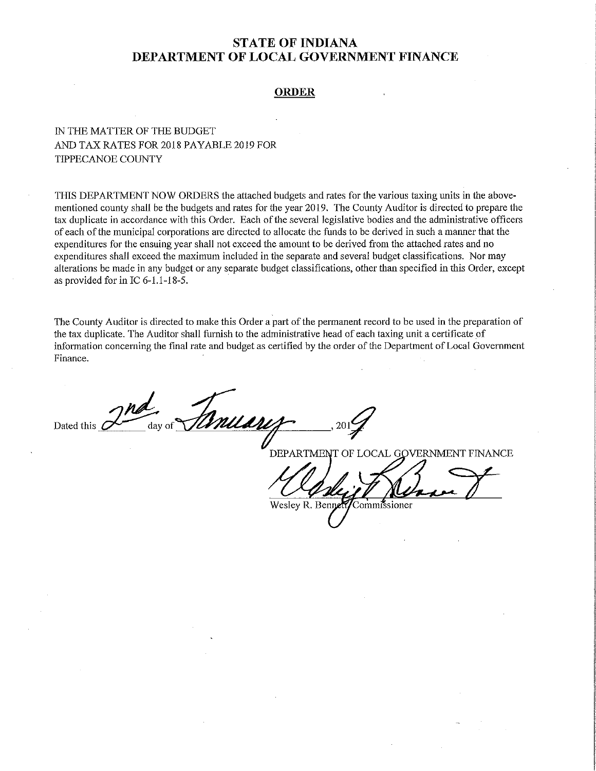### **ORDER**

### IN THE MATTER OF THE BUDGET AND TAX RATES FOR 2018 PAYABLE 2019 FOR TIPPECANOE COUNTY

THIS DEPARTMENT NOW ORDERS the attached budgets and rates for the various taxing units in the abovementioned county shall be the budgets and rates for the year 2019. The County Auditor is directed to prepare the tax duplicate in accordance with this Order. Each of the several legislative bodies and the administrative officers of each of the municipal corporations are directed to allocate the funds to be derived in such a manner that the expenditures for the ensuing year shall not exceed the amount to be derived from the attached rates and no expenditures shall exceed the maximum included in the separate and several budget classifications. Nor may alterations be made in any budget or any separate budget classifications, other than specified in this Order, except as provided for in IC 6-1.1-18-5.

The County Auditor is directed to make this Order a part of the permanent record to be used in the preparation of the tax duplicate. The Auditor shall furnish to the administrative head of each taxing unit a certificate of information concerning the final rate and budget as certified by the order of the Department of Local Government Finance.

muare Dated this *i* 

DEPARTMENT OF LOCAL GOVERNMENT FINANCE

Wesley R. Benne ommissioner!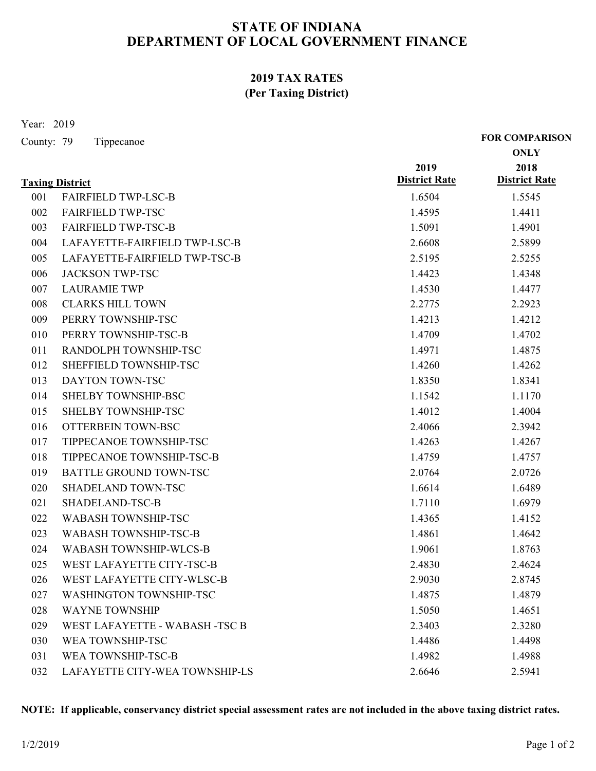### 2019 TAX RATES (Per Taxing District)

|                          | 2019 TAX RATES<br>(Per Taxing District)              |                      |                                      |
|--------------------------|------------------------------------------------------|----------------------|--------------------------------------|
| Year: 2019<br>County: 79 | Tippecanoe                                           |                      | <b>FOR COMPARISON</b><br><b>ONLY</b> |
|                          |                                                      | 2019                 | 2018                                 |
|                          | <b>Taxing District</b>                               | <b>District Rate</b> | <b>District Rate</b>                 |
| 001                      | <b>FAIRFIELD TWP-LSC-B</b>                           | 1.6504               | 1.5545                               |
| 002                      | <b>FAIRFIELD TWP-TSC</b>                             | 1.4595               | 1.4411                               |
| 003                      | <b>FAIRFIELD TWP-TSC-B</b>                           | 1.5091               | 1.4901                               |
| 004                      | LAFAYETTE-FAIRFIELD TWP-LSC-B                        | 2.6608               | 2.5899                               |
| 005                      | LAFAYETTE-FAIRFIELD TWP-TSC-B                        | 2.5195               | 2.5255                               |
| 006                      | <b>JACKSON TWP-TSC</b>                               | 1.4423               | 1.4348                               |
| 007                      | <b>LAURAMIE TWP</b>                                  | 1.4530               | 1.4477                               |
| 008                      | <b>CLARKS HILL TOWN</b>                              | 2.2775               | 2.2923                               |
| 009                      | PERRY TOWNSHIP-TSC                                   | 1.4213               | 1.4212                               |
| 010                      | PERRY TOWNSHIP-TSC-B                                 | 1.4709               | 1.4702                               |
| 011                      | RANDOLPH TOWNSHIP-TSC                                | 1.4971               | 1.4875                               |
| 012                      | SHEFFIELD TOWNSHIP-TSC                               | 1.4260               | 1.4262                               |
| 013                      | DAYTON TOWN-TSC                                      | 1.8350               | 1.8341                               |
| 014                      | SHELBY TOWNSHIP-BSC                                  | 1.1542               | 1.1170                               |
| 015                      | SHELBY TOWNSHIP-TSC                                  | 1.4012               | 1.4004                               |
| 016                      | OTTERBEIN TOWN-BSC                                   | 2.4066               | 2.3942                               |
| 017                      | TIPPECANOE TOWNSHIP-TSC                              | 1.4263               | 1.4267                               |
| 018                      | TIPPECANOE TOWNSHIP-TSC-B                            | 1.4759               | 1.4757                               |
| 019                      | <b>BATTLE GROUND TOWN-TSC</b>                        | 2.0764               | 2.0726                               |
| 020                      | SHADELAND TOWN-TSC                                   | 1.6614               | 1.6489                               |
| 021                      | SHADELAND-TSC-B                                      | 1.7110               | 1.6979                               |
| 022                      | WABASH TOWNSHIP-TSC                                  | 1.4365               | 1.4152                               |
| 023                      | WABASH TOWNSHIP-TSC-B                                | 1.4861               | 1.4642                               |
| 024                      | WABASH TOWNSHIP-WLCS-B                               | 1.9061               | 1.8763                               |
| 025                      | WEST LAFAYETTE CITY-TSC-B                            | 2.4830               | 2.4624                               |
| 026                      | WEST LAFAYETTE CITY-WLSC-B                           | 2.9030               | 2.8745                               |
| 027                      | WASHINGTON TOWNSHIP-TSC                              | 1.4875               | 1.4879                               |
| 028                      | <b>WAYNE TOWNSHIP</b>                                | 1.5050               | 1.4651                               |
| 029                      | WEST LAFAYETTE - WABASH -TSC B                       | 2.3403               |                                      |
|                          |                                                      |                      | 2.3280                               |
| 030                      | WEA TOWNSHIP-TSC                                     | 1.4486               | 1.4498                               |
| 031<br>032               | WEA TOWNSHIP-TSC-B<br>LAFAYETTE CITY-WEA TOWNSHIP-LS | 1.4982<br>2.6646     | 1.4988<br>2.5941                     |

### NOTE: If applicable, conservancy district special assessment rates are not included in the above taxing district rates.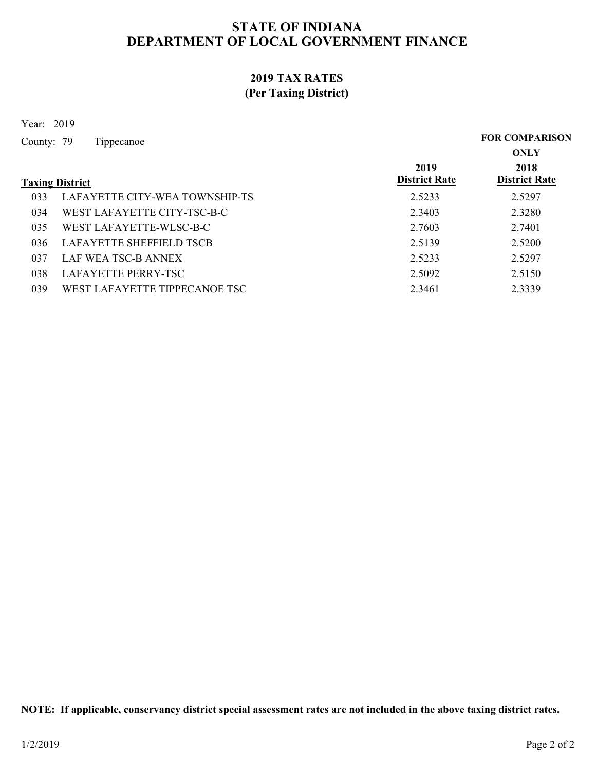### 2019 TAX RATES (Per Taxing District)

Year: 2019

STATE OF INDIANA<br>
DEPARTMENT OF LOCAL GOVERNMENT F<br>
2019 TAX RATES<br>
(Per Taxing District)<br>
Year: 2019<br>
County: 79 Tippecanoe<br>
Taxing District<br>
033 LAFAYETTE CITY-WEA TOWNSHIP-TS **Taxing District Rate** 2019 2018 **District Rate** 2018 ONLY FOR COMPARISON STATE OF INDIANA<br>
DEPARTMENT OF LOCAL GOVERNMENT FINANCE<br>
2019 TAX RATES<br>
(Per Taxing District)<br>
2019 Tippecanoe<br>
FOR COMPARISON<br>
0NLY<br>
2019 District<br>
2019 District<br>
2019 District<br>
2.5233 2.5297<br>
WEST LAFAYETTE CITY-TSC-B-STATE OF INDIANA<br>
DEPARTMENT OF LOCAL GOVERNMENT FINANCE<br>
2019 TAX RATES<br>
(Per Taxing District)<br>
2019 FOR COMPARISON<br>
2019 FOR COMPARISON<br>
2019 DESTLATATE CITY-WEA TOWNSHIP-TS<br>
23233 LAFAYETTE CITY-WEA TOWNSHIP-TS<br>
23233 L STATE OF INDIANA<br>
DEPARTMENT OF LOCAL GOVERNMENT FINANCE<br>
2019 TAX RATES<br>
(Per Taxing District)<br>
2019 FOR COMPARISON<br>
2019 FOR COMPARISON<br>
2019 FOR COMPARISON<br>
2019 WEST LAFAYETTE CITY-TSC-B-C 2.52403<br>
2.5240<br>
2.7401<br>
2.74 STATE OF INDIANA<br>
DEPARTMENT OF LOCAL GOVERNMENT FINANCE<br>
2019 TAX RATES<br>
(Per Taxing District)<br>
2019 POR COMPARISON<br>
2019 POR COMPARISON<br>
2019 DESPECTED TO Tippecanoe<br>
2.52297<br>
2.52297<br>
2.52297<br>
2.52297<br>
2.52139 LAFAYETTE  $\begin{array}{cccc} \textbf{STATE OF INDIANA} & \textbf{DEPARTMENT OF LOCAL GOVERNMENT FINANCE} \\ & \textbf{2019 TAX RATES} \\ & \textbf{2019 TAX RATES} \\ & \textbf{2019 TAX RATES} \\ & \textbf{2019} \\ & \textbf{2019} \\ & \textbf{2019} \\ & \textbf{2019} \\ & \textbf{2019} \\ & \textbf{2019} \\ & \textbf{2019} \\ & \textbf{2019} \\ & \textbf{2019} \\ & \textbf{2019} \\ & \textbf{2019} \\ & \textbf{2019} \\ & \textbf{2$ STATE OF INDIANA<br>
DEPARTMENT OF LOCAL GOVERNMENT FINANCE<br>
2019 TAX RATES<br>
(Per Taxing District)<br>
2019 Fippecanoe<br>
2019 For COMPARISON<br>
2019 For COMPARISON<br>
2018 MEST LAFAYETTE CITY-WEA TOWNSHIP-TS<br>
2.5233 2.5297<br>
2.5297<br>
2 **DEPARTMENT OF LOCAL GOVERNMENT FINANCE**<br>
2019 TAX RATES<br>
(Per Taxing District)<br>
2019<br>
2019 Bonty: 79 Tippecanoe<br>
2019 Bonty<br>
2019 District Rate<br>
2019 LAFAYETTE CITY-WEA TOWNSHIP-TS<br>
2333 LAFAYETTE CITY-WEA TOWNSHIP-TS<br>
2.

NOTE: If applicable, conservancy district special assessment rates are not included in the above taxing district rates.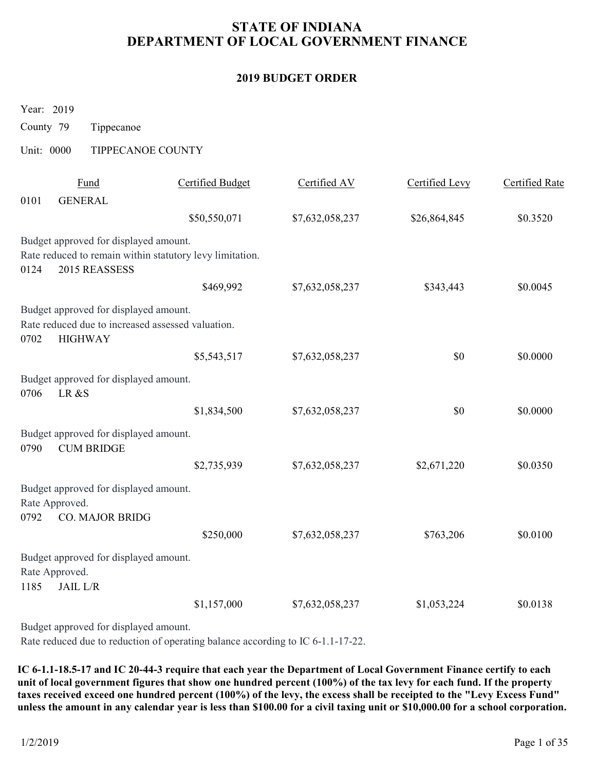# STATE OF INDIANA DEPARTMENT OF LOCAL GOVERNMENT FINANCE STATE OF INDIANA<br>
DEPARTMENT OF LOCAL GOVERNMENT I<br>
2019 BUDGET ORDER<br>
Year: 2019<br>
County 79 Tippecanoe<br>
Unit: 0000 TIPPECANOE COUNTY<br>
<u>Fund</u> Certified Budget Certified AV</u>

### 2019 BUDGET ORDER

| <b>2019 BUDGET ORDER</b><br>Year: 2019<br>County 79<br>Tippecanoe<br>Unit: 0000<br>TIPPECANOE COUNTY<br><b>Certified Budget</b><br>Fund<br>Certified AV<br><b>Certified Levy</b><br><b>Certified Rate</b><br>0101<br><b>GENERAL</b><br>\$50,550,071<br>\$26,864,845<br>\$0.3520<br>\$7,632,058,237<br>Budget approved for displayed amount.<br>Rate reduced to remain within statutory levy limitation.<br>2015 REASSESS<br>0124<br>\$469,992<br>\$7,632,058,237<br>\$343,443<br>\$0.0045<br>Budget approved for displayed amount.<br>Rate reduced due to increased assessed valuation.<br>0702<br><b>HIGHWAY</b><br>\$5,543,517<br>\$0<br>\$0.0000<br>\$7,632,058,237<br>Budget approved for displayed amount.<br>LR &S<br>0706<br>\$0<br>\$1,834,500<br>\$7,632,058,237<br>\$0.0000<br>Budget approved for displayed amount.<br><b>CUM BRIDGE</b><br>0790<br>\$2,735,939<br>\$7,632,058,237<br>\$2,671,220<br>\$0.0350<br>Budget approved for displayed amount.<br>Rate Approved.<br><b>CO. MAJOR BRIDG</b><br>0792<br>\$250,000<br>\$7,632,058,237<br>\$763,206<br>\$0.0100<br>Budget approved for displayed amount.<br>Rate Approved.<br><b>JAIL L/R</b><br>1185 |  | DEPARTMENT OF LOCAL GOVERNMENT FINANCE |                 |             |          |
|----------------------------------------------------------------------------------------------------------------------------------------------------------------------------------------------------------------------------------------------------------------------------------------------------------------------------------------------------------------------------------------------------------------------------------------------------------------------------------------------------------------------------------------------------------------------------------------------------------------------------------------------------------------------------------------------------------------------------------------------------------------------------------------------------------------------------------------------------------------------------------------------------------------------------------------------------------------------------------------------------------------------------------------------------------------------------------------------------------------------------------------------------------------------|--|----------------------------------------|-----------------|-------------|----------|
|                                                                                                                                                                                                                                                                                                                                                                                                                                                                                                                                                                                                                                                                                                                                                                                                                                                                                                                                                                                                                                                                                                                                                                      |  |                                        |                 |             |          |
|                                                                                                                                                                                                                                                                                                                                                                                                                                                                                                                                                                                                                                                                                                                                                                                                                                                                                                                                                                                                                                                                                                                                                                      |  |                                        |                 |             |          |
|                                                                                                                                                                                                                                                                                                                                                                                                                                                                                                                                                                                                                                                                                                                                                                                                                                                                                                                                                                                                                                                                                                                                                                      |  |                                        |                 |             |          |
|                                                                                                                                                                                                                                                                                                                                                                                                                                                                                                                                                                                                                                                                                                                                                                                                                                                                                                                                                                                                                                                                                                                                                                      |  |                                        |                 |             |          |
|                                                                                                                                                                                                                                                                                                                                                                                                                                                                                                                                                                                                                                                                                                                                                                                                                                                                                                                                                                                                                                                                                                                                                                      |  |                                        |                 |             |          |
|                                                                                                                                                                                                                                                                                                                                                                                                                                                                                                                                                                                                                                                                                                                                                                                                                                                                                                                                                                                                                                                                                                                                                                      |  |                                        |                 |             |          |
|                                                                                                                                                                                                                                                                                                                                                                                                                                                                                                                                                                                                                                                                                                                                                                                                                                                                                                                                                                                                                                                                                                                                                                      |  |                                        |                 |             |          |
|                                                                                                                                                                                                                                                                                                                                                                                                                                                                                                                                                                                                                                                                                                                                                                                                                                                                                                                                                                                                                                                                                                                                                                      |  |                                        |                 |             |          |
|                                                                                                                                                                                                                                                                                                                                                                                                                                                                                                                                                                                                                                                                                                                                                                                                                                                                                                                                                                                                                                                                                                                                                                      |  |                                        |                 |             |          |
|                                                                                                                                                                                                                                                                                                                                                                                                                                                                                                                                                                                                                                                                                                                                                                                                                                                                                                                                                                                                                                                                                                                                                                      |  |                                        |                 |             |          |
|                                                                                                                                                                                                                                                                                                                                                                                                                                                                                                                                                                                                                                                                                                                                                                                                                                                                                                                                                                                                                                                                                                                                                                      |  |                                        |                 |             |          |
|                                                                                                                                                                                                                                                                                                                                                                                                                                                                                                                                                                                                                                                                                                                                                                                                                                                                                                                                                                                                                                                                                                                                                                      |  |                                        |                 |             |          |
|                                                                                                                                                                                                                                                                                                                                                                                                                                                                                                                                                                                                                                                                                                                                                                                                                                                                                                                                                                                                                                                                                                                                                                      |  |                                        |                 |             |          |
|                                                                                                                                                                                                                                                                                                                                                                                                                                                                                                                                                                                                                                                                                                                                                                                                                                                                                                                                                                                                                                                                                                                                                                      |  |                                        |                 |             |          |
|                                                                                                                                                                                                                                                                                                                                                                                                                                                                                                                                                                                                                                                                                                                                                                                                                                                                                                                                                                                                                                                                                                                                                                      |  |                                        |                 |             |          |
|                                                                                                                                                                                                                                                                                                                                                                                                                                                                                                                                                                                                                                                                                                                                                                                                                                                                                                                                                                                                                                                                                                                                                                      |  |                                        |                 |             |          |
|                                                                                                                                                                                                                                                                                                                                                                                                                                                                                                                                                                                                                                                                                                                                                                                                                                                                                                                                                                                                                                                                                                                                                                      |  |                                        |                 |             |          |
|                                                                                                                                                                                                                                                                                                                                                                                                                                                                                                                                                                                                                                                                                                                                                                                                                                                                                                                                                                                                                                                                                                                                                                      |  | \$1,157,000                            | \$7,632,058,237 | \$1,053,224 | \$0.0138 |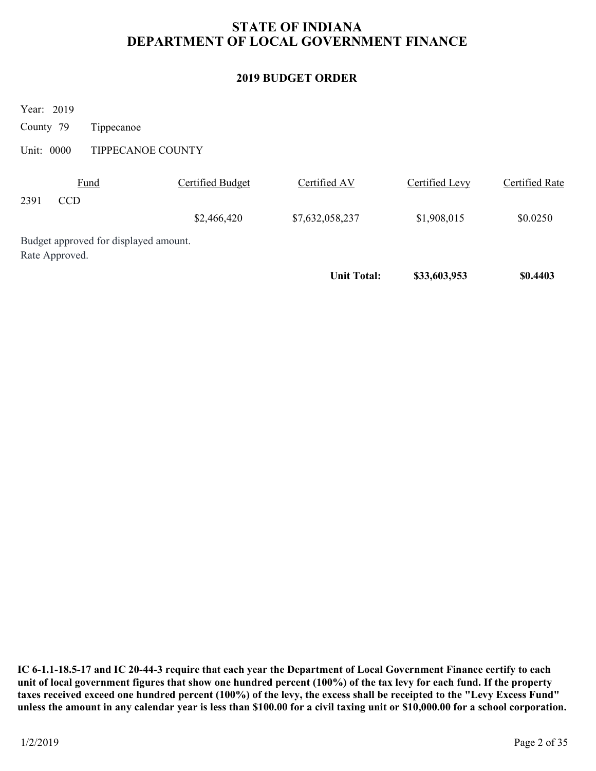# STATE OF INDIANA DEPARTMENT OF LOCAL GOVERNMENT FINANCE STATE OF INDIANA<br>
DEPARTMENT OF LOCAL GOVERNMENT I<br>
2019 BUDGET ORDER<br>
Year: 2019<br>
County 79 Tippecanoe<br>
Unit: 0000 TIPPECANOE COUNTY<br>
<u>Fund</u> Certified Budget Certified AV</u>

### 2019 BUDGET ORDER

|                                                         |                         | <b>STATE OF INDIANA</b><br>DEPARTMENT OF LOCAL GOVERNMENT FINANCE |                |                       |
|---------------------------------------------------------|-------------------------|-------------------------------------------------------------------|----------------|-----------------------|
|                                                         |                         | <b>2019 BUDGET ORDER</b>                                          |                |                       |
| Year: 2019<br>County 79<br>Tippecanoe                   |                         |                                                                   |                |                       |
| Unit: 0000<br>TIPPECANOE COUNTY                         |                         |                                                                   |                |                       |
| Fund<br>2391<br>CCD                                     | <b>Certified Budget</b> | Certified AV                                                      | Certified Levy | <b>Certified Rate</b> |
|                                                         | \$2,466,420             | \$7,632,058,237                                                   | \$1,908,015    | \$0.0250              |
| Budget approved for displayed amount.<br>Rate Approved. |                         |                                                                   |                |                       |
|                                                         |                         | <b>Unit Total:</b>                                                | \$33,603,953   | \$0.4403              |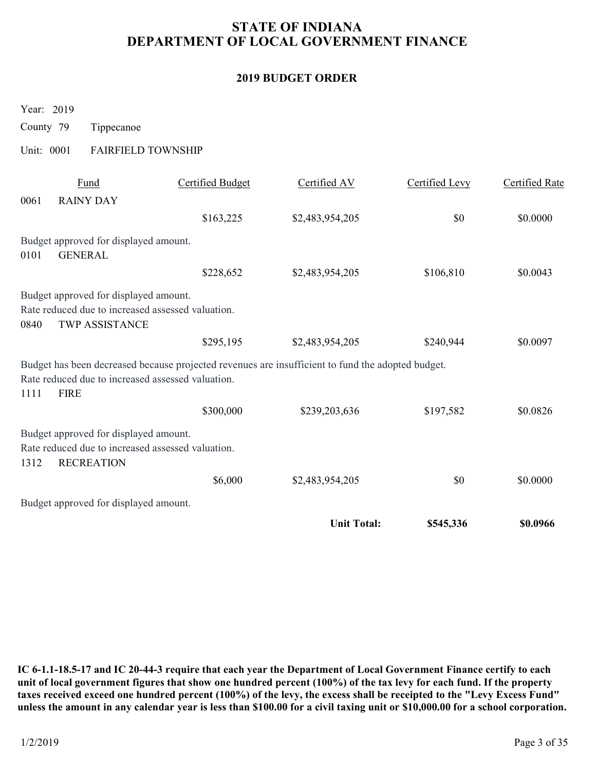# STATE OF INDIANA DEPARTMENT OF LOCAL GOVERNMENT FINANCE STATE OF INDIANA<br>
DEPARTMENT OF LOCAL GOVERNMENT I<br>
2019 BUDGET ORDER<br>
Year: 2019<br>
County 79 Tippecanoe<br>
Unit: 0001 FAIRFIELD TOWNSHIP<br>
<u>Fund</u> Certified Budget Certified AV</u>

### 2019 BUDGET ORDER

|                                                                                                   |                         | <b>STATE OF INDIANA</b><br>DEPARTMENT OF LOCAL GOVERNMENT FINANCE |                |                       |
|---------------------------------------------------------------------------------------------------|-------------------------|-------------------------------------------------------------------|----------------|-----------------------|
|                                                                                                   |                         | <b>2019 BUDGET ORDER</b>                                          |                |                       |
| Year: 2019                                                                                        |                         |                                                                   |                |                       |
| County 79<br>Tippecanoe                                                                           |                         |                                                                   |                |                       |
| <b>FAIRFIELD TOWNSHIP</b><br>Unit: 0001                                                           |                         |                                                                   |                |                       |
| Fund                                                                                              | <b>Certified Budget</b> | Certified AV                                                      | Certified Levy | <b>Certified Rate</b> |
| 0061<br><b>RAINY DAY</b>                                                                          |                         |                                                                   |                |                       |
|                                                                                                   | \$163,225               | \$2,483,954,205                                                   | \$0            | \$0.0000              |
| Budget approved for displayed amount.<br><b>GENERAL</b><br>0101                                   |                         |                                                                   |                |                       |
|                                                                                                   | \$228,652               | \$2,483,954,205                                                   | \$106,810      | \$0.0043              |
| Budget approved for displayed amount.                                                             |                         |                                                                   |                |                       |
| Rate reduced due to increased assessed valuation.                                                 |                         |                                                                   |                |                       |
| TWP ASSISTANCE<br>0840                                                                            | \$295,195               | \$2,483,954,205                                                   | \$240,944      | \$0.0097              |
| Budget has been decreased because projected revenues are insufficient to fund the adopted budget. |                         |                                                                   |                |                       |
| Rate reduced due to increased assessed valuation.                                                 |                         |                                                                   |                |                       |
| <b>FIRE</b><br>1111                                                                               |                         |                                                                   |                |                       |
|                                                                                                   | \$300,000               | \$239,203,636                                                     | \$197,582      | \$0.0826              |
| Budget approved for displayed amount.<br>Rate reduced due to increased assessed valuation.        |                         |                                                                   |                |                       |
| <b>RECREATION</b><br>1312                                                                         |                         |                                                                   |                |                       |
|                                                                                                   | \$6,000                 | \$2,483,954,205                                                   | \$0            | \$0.0000              |
| Budget approved for displayed amount.                                                             |                         |                                                                   |                |                       |
|                                                                                                   |                         | <b>Unit Total:</b>                                                | \$545,336      | \$0.0966              |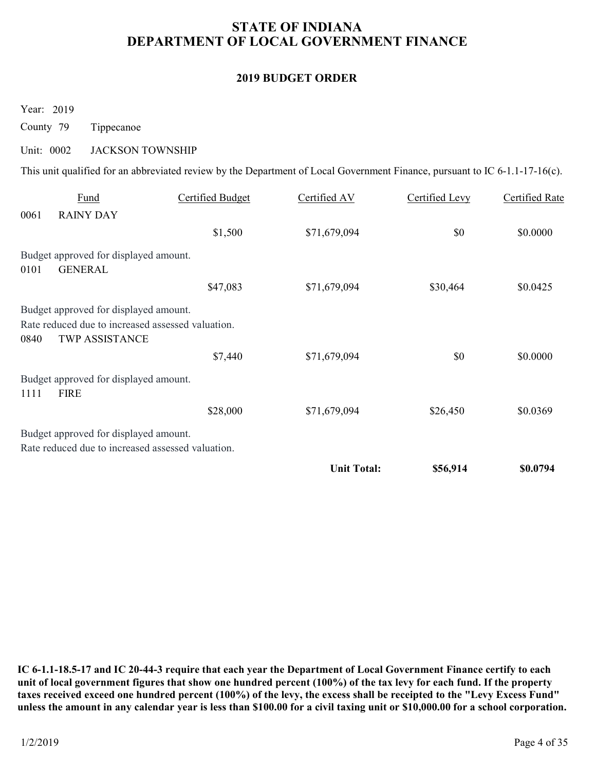# STATE OF INDIANA DEPARTMENT OF LOCAL GOVERNMENT FINANCE STATE OF INDIANA<br>
DEPARTMENT OF LOCAL GOVERNMENT I<br>
2019 BUDGET ORDER<br>
Year: 2019<br>
County 79 Tippecanoe<br>
Unit: 0002 JACKSON TOWNSHIP<br>
This unit qualified for an abbreviated review by the Department of Local Government Fina

### 2019 BUDGET ORDER

|                         |                                                                                                              |                         | <b>2019 BUDGET ORDER</b>                                                                                                    |                       |                       |
|-------------------------|--------------------------------------------------------------------------------------------------------------|-------------------------|-----------------------------------------------------------------------------------------------------------------------------|-----------------------|-----------------------|
| Year: 2019<br>County 79 | Tippecanoe                                                                                                   |                         |                                                                                                                             |                       |                       |
| Unit: 0002              | <b>JACKSON TOWNSHIP</b>                                                                                      |                         |                                                                                                                             |                       |                       |
|                         |                                                                                                              |                         | This unit qualified for an abbreviated review by the Department of Local Government Finance, pursuant to IC 6-1.1-17-16(c). |                       |                       |
| 0061                    | Fund<br><b>RAINY DAY</b>                                                                                     | <b>Certified Budget</b> | Certified AV                                                                                                                | <b>Certified Levy</b> | <b>Certified Rate</b> |
|                         |                                                                                                              | \$1,500                 | \$71,679,094                                                                                                                | \$0                   | \$0.0000              |
| 0101                    | Budget approved for displayed amount.<br><b>GENERAL</b>                                                      |                         |                                                                                                                             |                       |                       |
|                         |                                                                                                              | \$47,083                | \$71,679,094                                                                                                                | \$30,464              | \$0.0425              |
| 0840                    | Budget approved for displayed amount.<br>Rate reduced due to increased assessed valuation.<br>TWP ASSISTANCE |                         |                                                                                                                             |                       |                       |
|                         |                                                                                                              | \$7,440                 | \$71,679,094                                                                                                                | \$0\$                 | \$0.0000              |
|                         | Budget approved for displayed amount.<br><b>FIRE</b>                                                         |                         |                                                                                                                             |                       |                       |
| 1111                    |                                                                                                              | \$28,000                | \$71,679,094                                                                                                                | \$26,450              | \$0.0369              |
|                         |                                                                                                              |                         |                                                                                                                             |                       |                       |
|                         | Budget approved for displayed amount.<br>Rate reduced due to increased assessed valuation.                   |                         |                                                                                                                             |                       |                       |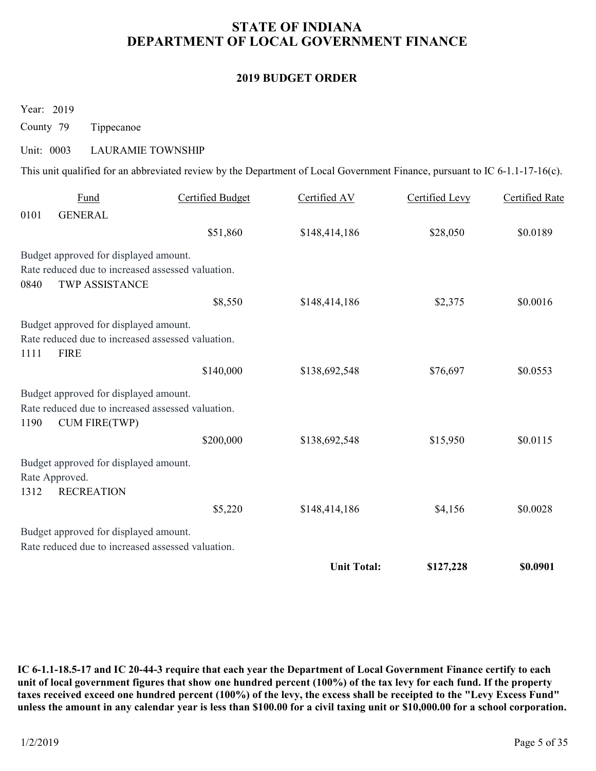# STATE OF INDIANA DEPARTMENT OF LOCAL GOVERNMENT FINANCE STATE OF INDIANA<br>
DEPARTMENT OF LOCAL GOVERNMENT I<br>
2019 BUDGET ORDER<br>
Year: 2019<br>
County 79 Tippecanoe<br>
Unit: 0003 LAURAMIE TOWNSHIP<br>
This unit qualified for an abbreviated review by the Department of Local Government Fin

### 2019 BUDGET ORDER

|                                                                                                                             |                         | <b>2019 BUDGET ORDER</b> |                |                       |
|-----------------------------------------------------------------------------------------------------------------------------|-------------------------|--------------------------|----------------|-----------------------|
| Year: 2019                                                                                                                  |                         |                          |                |                       |
| County 79<br>Tippecanoe                                                                                                     |                         |                          |                |                       |
| Unit: 0003<br><b>LAURAMIE TOWNSHIP</b>                                                                                      |                         |                          |                |                       |
| This unit qualified for an abbreviated review by the Department of Local Government Finance, pursuant to IC 6-1.1-17-16(c). |                         |                          |                |                       |
| Fund<br>0101<br><b>GENERAL</b>                                                                                              | <b>Certified Budget</b> | Certified AV             | Certified Levy | <b>Certified Rate</b> |
|                                                                                                                             | \$51,860                | \$148,414,186            | \$28,050       | \$0.0189              |
| Budget approved for displayed amount.<br>Rate reduced due to increased assessed valuation.<br>TWP ASSISTANCE<br>0840        |                         |                          |                |                       |
|                                                                                                                             | \$8,550                 | \$148,414,186            | \$2,375        | \$0.0016              |
| Budget approved for displayed amount.<br>Rate reduced due to increased assessed valuation.<br><b>FIRE</b><br>1111           |                         |                          |                |                       |
|                                                                                                                             | \$140,000               | \$138,692,548            | \$76,697       | \$0.0553              |
| Budget approved for displayed amount.<br>Rate reduced due to increased assessed valuation.<br>1190<br><b>CUM FIRE(TWP)</b>  |                         |                          |                |                       |
|                                                                                                                             | \$200,000               | \$138,692,548            | \$15,950       | \$0.0115              |
| Budget approved for displayed amount.<br>Rate Approved.<br>1312<br><b>RECREATION</b>                                        |                         |                          |                |                       |
|                                                                                                                             | \$5,220                 | \$148,414,186            | \$4,156        | \$0.0028              |
| Budget approved for displayed amount.<br>Rate reduced due to increased assessed valuation.                                  |                         |                          |                |                       |
|                                                                                                                             |                         | <b>Unit Total:</b>       | \$127,228      | \$0.0901              |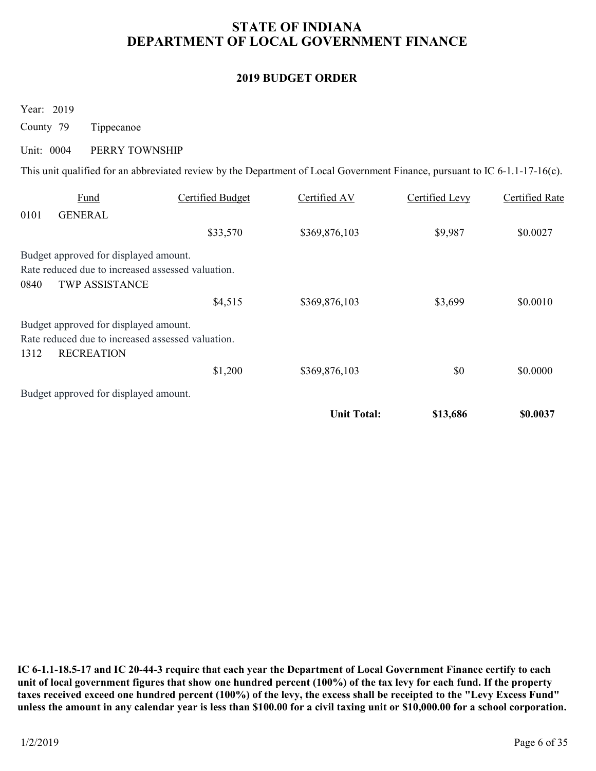# STATE OF INDIANA DEPARTMENT OF LOCAL GOVERNMENT FINANCE STATE OF INDIANA<br>
DEPARTMENT OF LOCAL GOVERNMENT I<br>
2019 BUDGET ORDER<br>
Year: 2019<br>
County 79 Tippecanoe<br>
Unit: 0004 PERRY TOWNSHIP<br>
This unit qualified for an abbreviated review by the Department of Local Government Fina

### 2019 BUDGET ORDER

|                                                                                                                         |                                                                                                                             | <b>STATE OF INDIANA</b><br>DEPARTMENT OF LOCAL GOVERNMENT FINANCE |                       |                       |
|-------------------------------------------------------------------------------------------------------------------------|-----------------------------------------------------------------------------------------------------------------------------|-------------------------------------------------------------------|-----------------------|-----------------------|
|                                                                                                                         |                                                                                                                             | <b>2019 BUDGET ORDER</b>                                          |                       |                       |
| Year: 2019<br>County 79<br>Tippecanoe<br>Unit: 0004<br>PERRY TOWNSHIP                                                   | This unit qualified for an abbreviated review by the Department of Local Government Finance, pursuant to IC 6-1.1-17-16(c). |                                                                   |                       |                       |
| Fund                                                                                                                    | <b>Certified Budget</b>                                                                                                     | Certified AV                                                      | <b>Certified Levy</b> | <b>Certified Rate</b> |
| 0101<br><b>GENERAL</b>                                                                                                  | \$33,570                                                                                                                    | \$369,876,103                                                     | \$9,987               | \$0.0027              |
| Budget approved for displayed amount.<br>Rate reduced due to increased assessed valuation.<br>TWP ASSISTANCE<br>0840    |                                                                                                                             |                                                                   |                       |                       |
|                                                                                                                         | \$4,515                                                                                                                     | \$369,876,103                                                     | \$3,699               | \$0.0010              |
| Budget approved for displayed amount.<br>Rate reduced due to increased assessed valuation.<br><b>RECREATION</b><br>1312 |                                                                                                                             |                                                                   |                       |                       |
|                                                                                                                         | \$1,200                                                                                                                     | \$369,876,103                                                     | $\$0$                 | \$0.0000              |
| Budget approved for displayed amount.                                                                                   |                                                                                                                             |                                                                   |                       |                       |
|                                                                                                                         |                                                                                                                             | <b>Unit Total:</b>                                                | \$13,686              | \$0.0037              |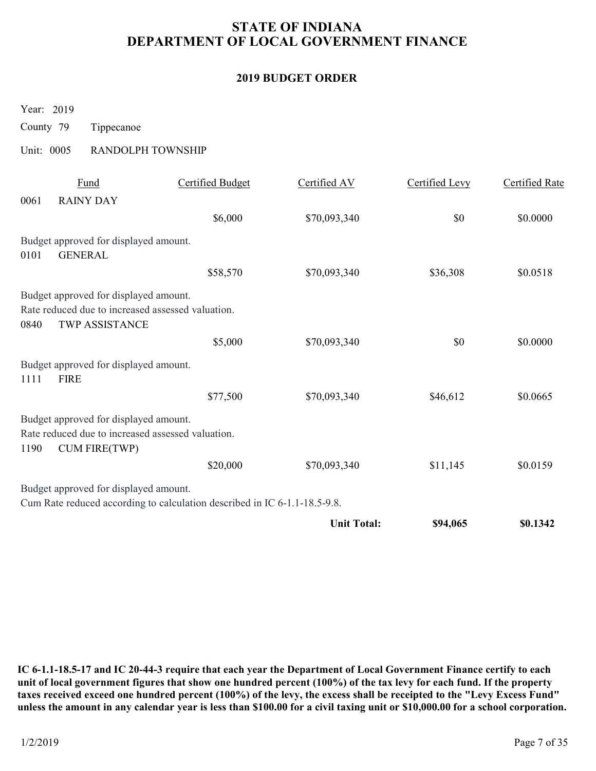# STATE OF INDIANA DEPARTMENT OF LOCAL GOVERNMENT FINANCE STATE OF INDIANA<br>
DEPARTMENT OF LOCAL GOVERNMENT I<br>
2019 BUDGET ORDER<br>
Year: 2019<br>
County 79 Tippecanoe<br>
Unit: 0005 RANDOLPH TOWNSHIP<br>
<u>Fund</u> Certified Budget Certified AV</u>

### 2019 BUDGET ORDER

|            |                                                                                                                    | DEPARTMENT OF LOCAL GOVERNMENT FINANCE                                    | <b>STATE OF INDIANA</b>  |                |                       |
|------------|--------------------------------------------------------------------------------------------------------------------|---------------------------------------------------------------------------|--------------------------|----------------|-----------------------|
|            |                                                                                                                    |                                                                           | <b>2019 BUDGET ORDER</b> |                |                       |
| Year: 2019 |                                                                                                                    |                                                                           |                          |                |                       |
| County 79  | Tippecanoe                                                                                                         |                                                                           |                          |                |                       |
| Unit: 0005 | RANDOLPH TOWNSHIP                                                                                                  |                                                                           |                          |                |                       |
|            | Fund                                                                                                               | <b>Certified Budget</b>                                                   | Certified AV             | Certified Levy | <b>Certified Rate</b> |
| 0061       | <b>RAINY DAY</b>                                                                                                   |                                                                           |                          |                |                       |
|            |                                                                                                                    | \$6,000                                                                   | \$70,093,340             | \$0            | \$0.0000              |
|            | Budget approved for displayed amount.                                                                              |                                                                           |                          |                |                       |
| 0101       | <b>GENERAL</b>                                                                                                     | \$58,570                                                                  | \$70,093,340             | \$36,308       | \$0.0518              |
|            | Budget approved for displayed amount.                                                                              |                                                                           |                          |                |                       |
|            | Rate reduced due to increased assessed valuation.                                                                  |                                                                           |                          |                |                       |
| 0840       | TWP ASSISTANCE                                                                                                     | \$5,000                                                                   | \$70,093,340             | $\$0$          | \$0.0000              |
|            | Budget approved for displayed amount.                                                                              |                                                                           |                          |                |                       |
| 1111       | <b>FIRE</b>                                                                                                        |                                                                           |                          |                |                       |
|            |                                                                                                                    | \$77,500                                                                  | \$70,093,340             | \$46,612       | \$0.0665              |
| 1190       | Budget approved for displayed amount.<br>Rate reduced due to increased assessed valuation.<br><b>CUM FIRE(TWP)</b> |                                                                           |                          |                |                       |
|            |                                                                                                                    | \$20,000                                                                  | \$70,093,340             | \$11,145       | \$0.0159              |
|            | Budget approved for displayed amount.                                                                              |                                                                           |                          |                |                       |
|            |                                                                                                                    | Cum Rate reduced according to calculation described in IC 6-1.1-18.5-9.8. |                          |                |                       |
|            |                                                                                                                    |                                                                           | <b>Unit Total:</b>       | \$94,065       | \$0.1342              |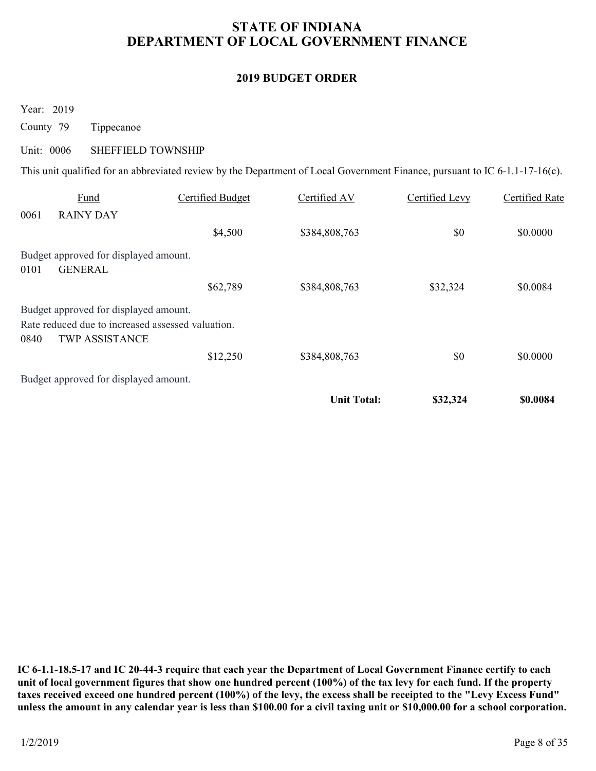# STATE OF INDIANA DEPARTMENT OF LOCAL GOVERNMENT FINANCE STATE OF INDIANA<br>
DEPARTMENT OF LOCAL GOVERNMENT I<br>
2019 BUDGET ORDER<br>
Year: 2019<br>
County 79 Tippecanoe<br>
Unit: 0006 SHEFFIELD TOWNSHIP<br>
This unit qualified for an abbreviated review by the Department of Local Government Fi

### 2019 BUDGET ORDER

|                                                                                                                             |                         | DEPARTMENT OF LOCAL GOVERNMENT FINANCE |                       |                       |
|-----------------------------------------------------------------------------------------------------------------------------|-------------------------|----------------------------------------|-----------------------|-----------------------|
|                                                                                                                             |                         | <b>2019 BUDGET ORDER</b>               |                       |                       |
|                                                                                                                             |                         |                                        |                       |                       |
| Year: 2019                                                                                                                  |                         |                                        |                       |                       |
| County 79<br>Tippecanoe                                                                                                     |                         |                                        |                       |                       |
| Unit: 0006<br>SHEFFIELD TOWNSHIP                                                                                            |                         |                                        |                       |                       |
| This unit qualified for an abbreviated review by the Department of Local Government Finance, pursuant to IC 6-1.1-17-16(c). |                         |                                        |                       |                       |
| Fund                                                                                                                        | <b>Certified Budget</b> | Certified AV                           | <b>Certified Levy</b> | <b>Certified Rate</b> |
| 0061<br><b>RAINY DAY</b>                                                                                                    |                         |                                        |                       |                       |
|                                                                                                                             |                         |                                        |                       |                       |
|                                                                                                                             | \$4,500                 | \$384,808,763                          | \$0                   | \$0.0000              |
| Budget approved for displayed amount.<br><b>GENERAL</b><br>0101                                                             |                         |                                        |                       |                       |
|                                                                                                                             | \$62,789                | \$384,808,763                          | \$32,324              | \$0.0084              |
| Budget approved for displayed amount.<br>Rate reduced due to increased assessed valuation.<br>0840<br>TWP ASSISTANCE        |                         |                                        |                       |                       |
|                                                                                                                             | \$12,250                | \$384,808,763                          | $\$0$                 | \$0.0000              |
| Budget approved for displayed amount.                                                                                       |                         |                                        |                       |                       |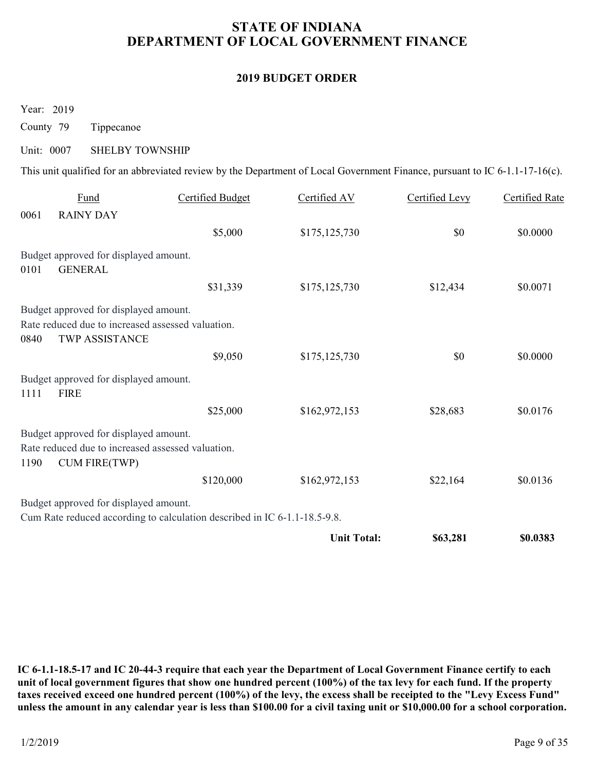# STATE OF INDIANA DEPARTMENT OF LOCAL GOVERNMENT FINANCE STATE OF INDIANA<br>
DEPARTMENT OF LOCAL GOVERNMENT I<br>
2019 BUDGET ORDER<br>
Year: 2019<br>
County 79 Tippecanoe<br>
Unit: 0007 SHELBY TOWNSHIP<br>
This unit qualified for an abbreviated review by the Department of Local Government Fina

### 2019 BUDGET ORDER

|            |                                                                                                                    |                                                                                                                             | <b>2019 BUDGET ORDER</b> |                |                       |
|------------|--------------------------------------------------------------------------------------------------------------------|-----------------------------------------------------------------------------------------------------------------------------|--------------------------|----------------|-----------------------|
| Year: 2019 |                                                                                                                    |                                                                                                                             |                          |                |                       |
| County 79  | Tippecanoe                                                                                                         |                                                                                                                             |                          |                |                       |
| Unit: 0007 | <b>SHELBY TOWNSHIP</b>                                                                                             |                                                                                                                             |                          |                |                       |
|            |                                                                                                                    | This unit qualified for an abbreviated review by the Department of Local Government Finance, pursuant to IC 6-1.1-17-16(c). |                          |                |                       |
| 0061       | Fund<br><b>RAINY DAY</b>                                                                                           | <b>Certified Budget</b>                                                                                                     | Certified AV             | Certified Levy | <b>Certified Rate</b> |
|            |                                                                                                                    | \$5,000                                                                                                                     | \$175,125,730            | \$0            | \$0.0000              |
| 0101       | Budget approved for displayed amount.<br><b>GENERAL</b>                                                            |                                                                                                                             |                          |                |                       |
|            |                                                                                                                    | \$31,339                                                                                                                    | \$175,125,730            | \$12,434       | \$0.0071              |
| 0840       | Budget approved for displayed amount.<br>Rate reduced due to increased assessed valuation.<br>TWP ASSISTANCE       |                                                                                                                             |                          |                |                       |
|            |                                                                                                                    | \$9,050                                                                                                                     | \$175,125,730            | \$0            | \$0.0000              |
| 1111       | Budget approved for displayed amount.<br><b>FIRE</b>                                                               |                                                                                                                             |                          |                |                       |
|            |                                                                                                                    | \$25,000                                                                                                                    | \$162,972,153            | \$28,683       | \$0.0176              |
|            |                                                                                                                    |                                                                                                                             |                          |                |                       |
| 1190       | Budget approved for displayed amount.<br>Rate reduced due to increased assessed valuation.<br><b>CUM FIRE(TWP)</b> |                                                                                                                             |                          |                |                       |
|            |                                                                                                                    | \$120,000                                                                                                                   | \$162,972,153            | \$22,164       | \$0.0136              |
|            | Budget approved for displayed amount.                                                                              | Cum Rate reduced according to calculation described in IC 6-1.1-18.5-9.8.                                                   |                          |                |                       |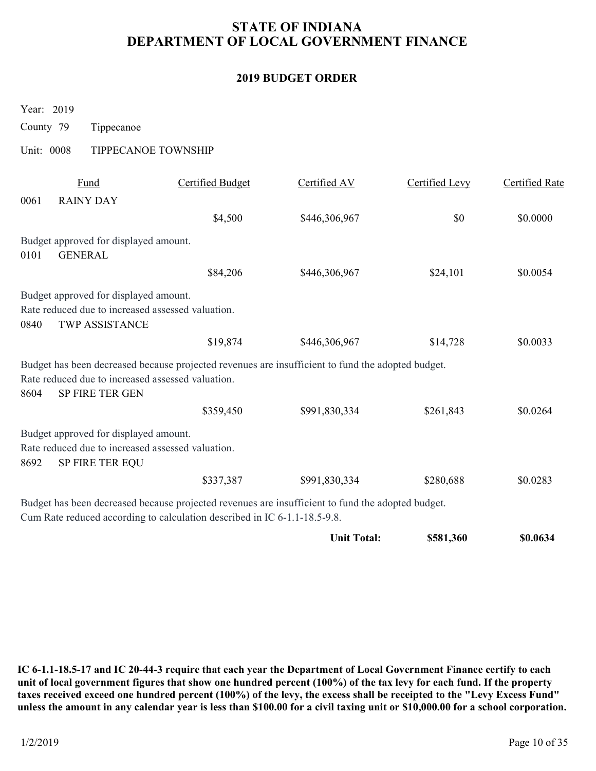# STATE OF INDIANA DEPARTMENT OF LOCAL GOVERNMENT FINANCE STATE OF INDIANA<br>
DEPARTMENT OF LOCAL GOVERNMENT I<br>
2019 BUDGET ORDER<br>
Year: 2019<br>
County 79 Tippecanoe<br>
Unit: 0008 TIPPECANOE TOWNSHIP<br>
<u>Fund</u> Certified Budget Certified AV</u>

### 2019 BUDGET ORDER

|            |                                                                      |                                                                           | <b>STATE OF INDIANA</b><br>DEPARTMENT OF LOCAL GOVERNMENT FINANCE                                 |                |                       |
|------------|----------------------------------------------------------------------|---------------------------------------------------------------------------|---------------------------------------------------------------------------------------------------|----------------|-----------------------|
|            |                                                                      |                                                                           | <b>2019 BUDGET ORDER</b>                                                                          |                |                       |
| Year: 2019 |                                                                      |                                                                           |                                                                                                   |                |                       |
| County 79  | Tippecanoe                                                           |                                                                           |                                                                                                   |                |                       |
| Unit: 0008 | TIPPECANOE TOWNSHIP                                                  |                                                                           |                                                                                                   |                |                       |
|            | Fund                                                                 | <b>Certified Budget</b>                                                   | Certified AV                                                                                      | Certified Levy | <b>Certified Rate</b> |
| 0061       | <b>RAINY DAY</b>                                                     |                                                                           |                                                                                                   |                |                       |
|            |                                                                      | \$4,500                                                                   | \$446,306,967                                                                                     | \$0            | \$0.0000              |
|            | Budget approved for displayed amount.                                |                                                                           |                                                                                                   |                |                       |
| 0101       | <b>GENERAL</b>                                                       | \$84,206                                                                  | \$446,306,967                                                                                     | \$24,101       | \$0.0054              |
|            | Budget approved for displayed amount.                                |                                                                           |                                                                                                   |                |                       |
|            | Rate reduced due to increased assessed valuation.                    |                                                                           |                                                                                                   |                |                       |
| 0840       | TWP ASSISTANCE                                                       |                                                                           |                                                                                                   |                |                       |
|            |                                                                      | \$19,874                                                                  | \$446,306,967                                                                                     | \$14,728       | \$0.0033              |
|            |                                                                      |                                                                           | Budget has been decreased because projected revenues are insufficient to fund the adopted budget. |                |                       |
| 8604       | Rate reduced due to increased assessed valuation.<br>SP FIRE TER GEN |                                                                           |                                                                                                   |                |                       |
|            |                                                                      | \$359,450                                                                 | \$991,830,334                                                                                     | \$261,843      | \$0.0264              |
|            | Budget approved for displayed amount.                                |                                                                           |                                                                                                   |                |                       |
|            | Rate reduced due to increased assessed valuation.                    |                                                                           |                                                                                                   |                |                       |
| 8692       | SP FIRE TER EQU                                                      |                                                                           |                                                                                                   |                |                       |
|            |                                                                      | \$337,387                                                                 | \$991,830,334                                                                                     | \$280,688      | \$0.0283              |
|            |                                                                      | Cum Rate reduced according to calculation described in IC 6-1.1-18.5-9.8. | Budget has been decreased because projected revenues are insufficient to fund the adopted budget. |                |                       |
|            |                                                                      |                                                                           | <b>Unit Total:</b>                                                                                | \$581,360      | \$0.0634              |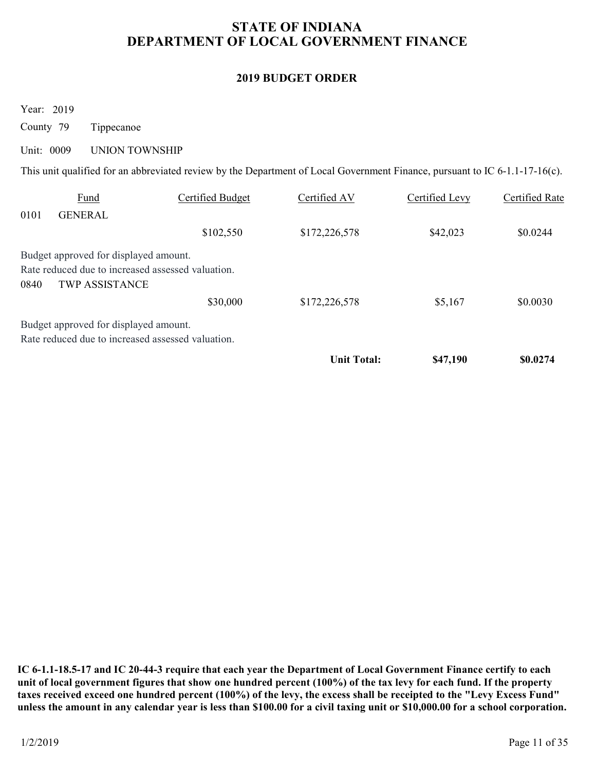# STATE OF INDIANA DEPARTMENT OF LOCAL GOVERNMENT FINANCE STATE OF INDIANA<br>
DEPARTMENT OF LOCAL GOVERNMENT I<br>
2019 BUDGET ORDER<br>
Year: 2019<br>
County 79 Tippecanoe<br>
Unit: 0009 UNION TOWNSHIP<br>
This unit qualified for an abbreviated review by the Department of Local Government Fina

### 2019 BUDGET ORDER

|                                       |                                                         |                                                               | <b>STATE OF INDIANA</b><br>DEPARTMENT OF LOCAL GOVERNMENT FINANCE                                                                                            |                                   |                                   |
|---------------------------------------|---------------------------------------------------------|---------------------------------------------------------------|--------------------------------------------------------------------------------------------------------------------------------------------------------------|-----------------------------------|-----------------------------------|
|                                       |                                                         |                                                               | <b>2019 BUDGET ORDER</b>                                                                                                                                     |                                   |                                   |
| Year: 2019<br>County 79<br>Unit: 0009 | Tippecanoe                                              |                                                               |                                                                                                                                                              |                                   |                                   |
|                                       | <b>UNION TOWNSHIP</b><br><b>Fund</b><br><b>GENERAL</b>  | <b>Certified Budget</b><br>\$102,550                          | This unit qualified for an abbreviated review by the Department of Local Government Finance, pursuant to IC 6-1.1-17-16(c).<br>Certified AV<br>\$172,226,578 | <b>Certified Levy</b><br>\$42,023 | \$0.0244                          |
| 0101<br>0840                          | Budget approved for displayed amount.<br>TWP ASSISTANCE | Rate reduced due to increased assessed valuation.<br>\$30,000 | \$172,226,578                                                                                                                                                | \$5,167                           | <b>Certified Rate</b><br>\$0.0030 |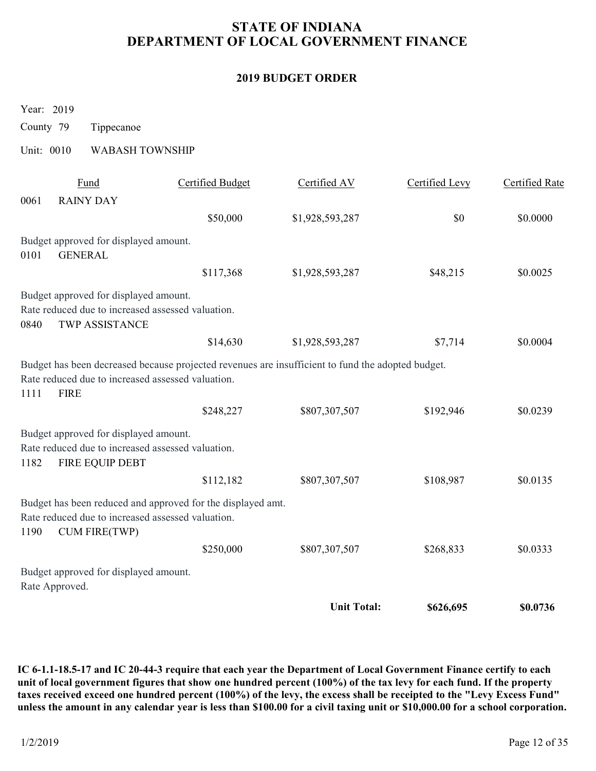# STATE OF INDIANA DEPARTMENT OF LOCAL GOVERNMENT FINANCE STATE OF INDIANA<br>
DEPARTMENT OF LOCAL GOVERNMENT I<br>
2019 BUDGET ORDER<br>
Year: 2019<br>
County 79 Tippecanoe<br>
Unit: 0010 WABASH TOWNSHIP<br>
<u>Fund</u> Certified Budget Certified AV</u>

### 2019 BUDGET ORDER

| DEPARTMENT OF LOCAL GOVERNMENT FINANCE |                                                                                                                     |                                                             |                                                                                                   |                |                       |  |
|----------------------------------------|---------------------------------------------------------------------------------------------------------------------|-------------------------------------------------------------|---------------------------------------------------------------------------------------------------|----------------|-----------------------|--|
|                                        |                                                                                                                     |                                                             | <b>2019 BUDGET ORDER</b>                                                                          |                |                       |  |
| Year: 2019                             |                                                                                                                     |                                                             |                                                                                                   |                |                       |  |
| County 79                              | Tippecanoe                                                                                                          |                                                             |                                                                                                   |                |                       |  |
| Unit: 0010                             | <b>WABASH TOWNSHIP</b>                                                                                              |                                                             |                                                                                                   |                |                       |  |
| 0061                                   | Fund<br><b>RAINY DAY</b>                                                                                            | <b>Certified Budget</b>                                     | Certified AV                                                                                      | Certified Levy | <b>Certified Rate</b> |  |
|                                        |                                                                                                                     | \$50,000                                                    | \$1,928,593,287                                                                                   | \$0            | \$0.0000              |  |
|                                        | Budget approved for displayed amount.                                                                               |                                                             |                                                                                                   |                |                       |  |
| 0101                                   | <b>GENERAL</b>                                                                                                      | \$117,368                                                   | \$1,928,593,287                                                                                   | \$48,215       | \$0.0025              |  |
| 0840                                   | Budget approved for displayed amount.<br>Rate reduced due to increased assessed valuation.<br><b>TWP ASSISTANCE</b> |                                                             |                                                                                                   |                |                       |  |
|                                        |                                                                                                                     | \$14,630                                                    | \$1,928,593,287                                                                                   | \$7,714        | \$0.0004              |  |
| <b>FIRE</b><br>1111                    | Rate reduced due to increased assessed valuation.                                                                   |                                                             | Budget has been decreased because projected revenues are insufficient to fund the adopted budget. |                |                       |  |
|                                        |                                                                                                                     | \$248,227                                                   | \$807,307,507                                                                                     | \$192,946      | \$0.0239              |  |
| 1182                                   | Budget approved for displayed amount.<br>Rate reduced due to increased assessed valuation.<br>FIRE EQUIP DEBT       |                                                             |                                                                                                   |                |                       |  |
|                                        |                                                                                                                     | \$112,182                                                   | \$807,307,507                                                                                     | \$108,987      | \$0.0135              |  |
| 1190                                   | Rate reduced due to increased assessed valuation.<br><b>CUM FIRE(TWP)</b>                                           | Budget has been reduced and approved for the displayed amt. |                                                                                                   |                |                       |  |
|                                        |                                                                                                                     | \$250,000                                                   | \$807,307,507                                                                                     | \$268,833      | \$0.0333              |  |
| Rate Approved.                         | Budget approved for displayed amount.                                                                               |                                                             |                                                                                                   |                |                       |  |
|                                        |                                                                                                                     |                                                             | <b>Unit Total:</b>                                                                                | \$626,695      | \$0.0736              |  |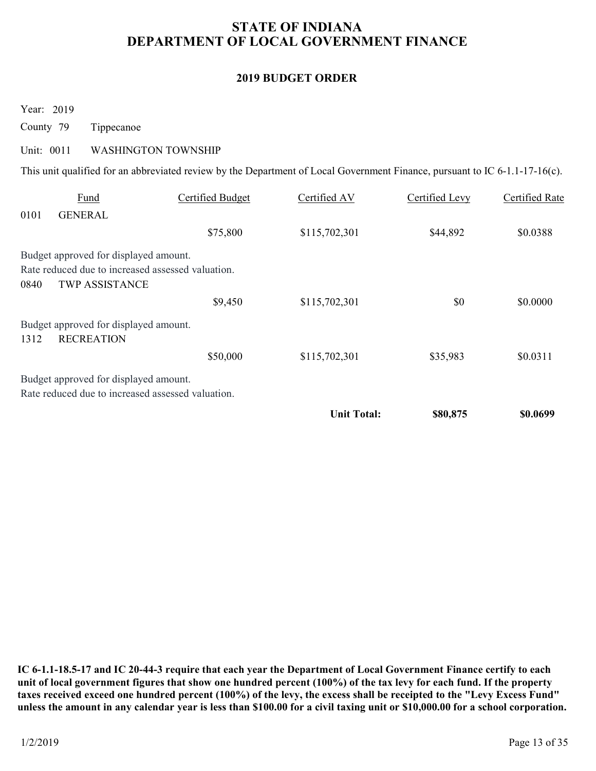# STATE OF INDIANA DEPARTMENT OF LOCAL GOVERNMENT FINANCE STATE OF INDIANA<br>
DEPARTMENT OF LOCAL GOVERNMENT I<br>
2019 BUDGET ORDER<br>
Year: 2019<br>
County 79 Tippecanoe<br>
Unit: 0011 WASHINGTON TOWNSHIP<br>
This unit qualified for an abbreviated review by the Department of Local Government F

### 2019 BUDGET ORDER

|                                                                                                                      |                                                                                                                                                           | DEPARTMENT OF LOCAL GOVERNMENT FINANCE |                       |                       |
|----------------------------------------------------------------------------------------------------------------------|-----------------------------------------------------------------------------------------------------------------------------------------------------------|----------------------------------------|-----------------------|-----------------------|
|                                                                                                                      |                                                                                                                                                           | <b>2019 BUDGET ORDER</b>               |                       |                       |
| Year: 2019<br>County 79<br>Tippecanoe                                                                                |                                                                                                                                                           |                                        |                       |                       |
| Unit: 0011                                                                                                           | <b>WASHINGTON TOWNSHIP</b><br>This unit qualified for an abbreviated review by the Department of Local Government Finance, pursuant to IC 6-1.1-17-16(c). |                                        |                       |                       |
| Fund                                                                                                                 | <b>Certified Budget</b>                                                                                                                                   | Certified AV                           | <b>Certified Levy</b> | <b>Certified Rate</b> |
| 0101<br><b>GENERAL</b>                                                                                               | \$75,800                                                                                                                                                  | \$115,702,301                          | \$44,892              | \$0.0388              |
| Budget approved for displayed amount.<br>Rate reduced due to increased assessed valuation.<br>TWP ASSISTANCE<br>0840 |                                                                                                                                                           |                                        |                       |                       |
|                                                                                                                      | \$9,450                                                                                                                                                   | \$115,702,301                          | \$0                   | \$0.0000              |
| Budget approved for displayed amount.<br>1312<br><b>RECREATION</b>                                                   |                                                                                                                                                           |                                        |                       |                       |
|                                                                                                                      | \$50,000                                                                                                                                                  | \$115,702,301                          | \$35,983              | \$0.0311              |
| Budget approved for displayed amount.<br>Rate reduced due to increased assessed valuation.                           |                                                                                                                                                           |                                        |                       |                       |
|                                                                                                                      |                                                                                                                                                           | <b>Unit Total:</b>                     | \$80,875              | \$0.0699              |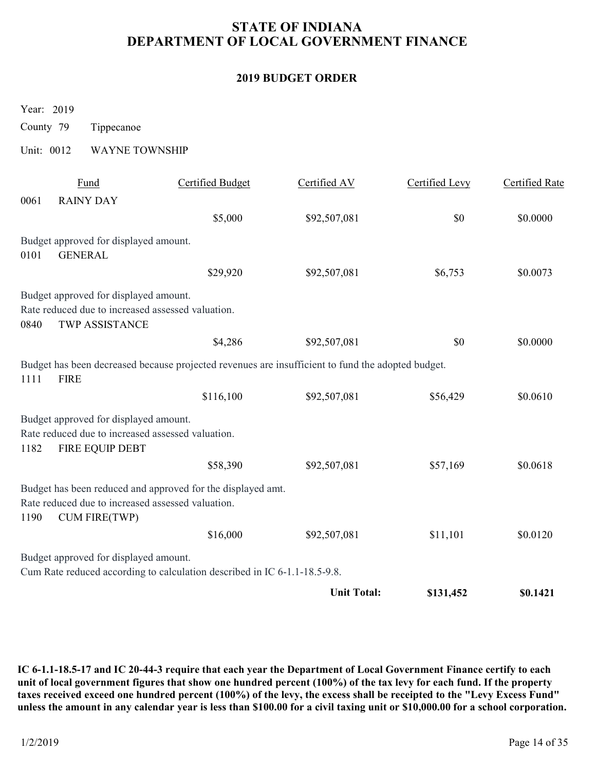# STATE OF INDIANA DEPARTMENT OF LOCAL GOVERNMENT FINANCE STATE OF INDIANA<br>
DEPARTMENT OF LOCAL GOVERNMENT I<br>
2019 BUDGET ORDER<br>
Year: 2019<br>
County 79 Tippecanoe<br>
Unit: 0012 WAYNE TOWNSHIP<br>
<u>Fund</u> Certified Budget Certified AV</u>

### 2019 BUDGET ORDER

| <b>STATE OF INDIANA</b><br>DEPARTMENT OF LOCAL GOVERNMENT FINANCE |                                                          |                                                                                                                  |                          |                |                       |  |
|-------------------------------------------------------------------|----------------------------------------------------------|------------------------------------------------------------------------------------------------------------------|--------------------------|----------------|-----------------------|--|
|                                                                   |                                                          |                                                                                                                  | <b>2019 BUDGET ORDER</b> |                |                       |  |
| Year: 2019<br>County 79                                           | Tippecanoe                                               |                                                                                                                  |                          |                |                       |  |
| Unit: 0012                                                        | <b>WAYNE TOWNSHIP</b>                                    |                                                                                                                  |                          |                |                       |  |
| 0061                                                              | Fund<br><b>RAINY DAY</b>                                 | <b>Certified Budget</b>                                                                                          | Certified AV             | Certified Levy | <b>Certified Rate</b> |  |
|                                                                   |                                                          | \$5,000                                                                                                          | \$92,507,081             | \$0            | \$0.0000              |  |
| 0101                                                              | Budget approved for displayed amount.<br><b>GENERAL</b>  |                                                                                                                  |                          |                |                       |  |
|                                                                   |                                                          | \$29,920                                                                                                         | \$92,507,081             | \$6,753        | \$0.0073              |  |
| 0840                                                              | Budget approved for displayed amount.<br>TWP ASSISTANCE  | Rate reduced due to increased assessed valuation.                                                                |                          |                |                       |  |
|                                                                   |                                                          | \$4,286                                                                                                          | \$92,507,081             | \$0            | \$0.0000              |  |
| 1111<br><b>FIRE</b>                                               |                                                          | Budget has been decreased because projected revenues are insufficient to fund the adopted budget.                |                          |                |                       |  |
|                                                                   |                                                          | \$116,100                                                                                                        | \$92,507,081             | \$56,429       | \$0.0610              |  |
| 1182                                                              | Budget approved for displayed amount.<br>FIRE EQUIP DEBT | Rate reduced due to increased assessed valuation.                                                                |                          |                |                       |  |
|                                                                   |                                                          | \$58,390                                                                                                         | \$92,507,081             | \$57,169       | \$0.0618              |  |
| 1190                                                              | <b>CUM FIRE(TWP)</b>                                     | Budget has been reduced and approved for the displayed amt.<br>Rate reduced due to increased assessed valuation. |                          |                |                       |  |
|                                                                   |                                                          | \$16,000                                                                                                         | \$92,507,081             | \$11,101       | \$0.0120              |  |
|                                                                   | Budget approved for displayed amount.                    | Cum Rate reduced according to calculation described in IC 6-1.1-18.5-9.8.                                        |                          |                |                       |  |
|                                                                   |                                                          |                                                                                                                  | <b>Unit Total:</b>       | \$131,452      | \$0.1421              |  |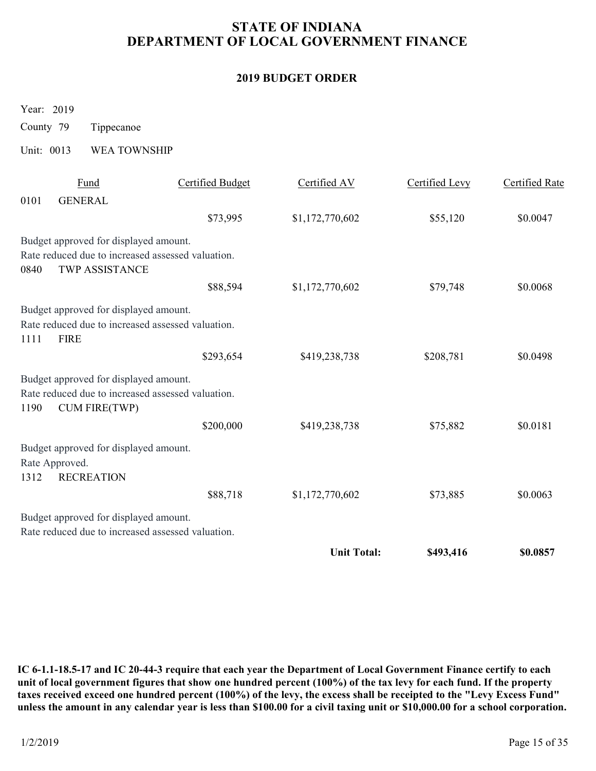# STATE OF INDIANA DEPARTMENT OF LOCAL GOVERNMENT FINANCE STATE OF INDIANA<br>
DEPARTMENT OF LOCAL GOVERNMENT I<br>
2019 BUDGET ORDER<br>
Year: 2019<br>
County 79 Tippecanoe<br>
Unit: 0013 WEA TOWNSHIP<br>
<u>Fund</u> Certified Budget Certified AV</u>

### 2019 BUDGET ORDER

|                          | <b>STATE OF INDIANA</b><br>DEPARTMENT OF LOCAL GOVERNMENT FINANCE                                                  |                         |                 |                |                       |  |
|--------------------------|--------------------------------------------------------------------------------------------------------------------|-------------------------|-----------------|----------------|-----------------------|--|
| <b>2019 BUDGET ORDER</b> |                                                                                                                    |                         |                 |                |                       |  |
| Year: 2019               |                                                                                                                    |                         |                 |                |                       |  |
| County 79                | Tippecanoe                                                                                                         |                         |                 |                |                       |  |
| Unit: 0013               | WEA TOWNSHIP                                                                                                       |                         |                 |                |                       |  |
| 0101                     | Fund<br><b>GENERAL</b>                                                                                             | <b>Certified Budget</b> | Certified AV    | Certified Levy | <b>Certified Rate</b> |  |
|                          |                                                                                                                    | \$73,995                | \$1,172,770,602 | \$55,120       | \$0.0047              |  |
| 0840                     | Budget approved for displayed amount.<br>Rate reduced due to increased assessed valuation.<br>TWP ASSISTANCE       |                         |                 |                |                       |  |
|                          |                                                                                                                    | \$88,594                | \$1,172,770,602 | \$79,748       | \$0.0068              |  |
| 1111<br><b>FIRE</b>      | Budget approved for displayed amount.<br>Rate reduced due to increased assessed valuation.                         |                         |                 |                |                       |  |
|                          |                                                                                                                    | \$293,654               | \$419,238,738   | \$208,781      | \$0.0498              |  |
| 1190                     | Budget approved for displayed amount.<br>Rate reduced due to increased assessed valuation.<br><b>CUM FIRE(TWP)</b> |                         |                 |                |                       |  |
|                          |                                                                                                                    | \$200,000               | \$419,238,738   | \$75,882       | \$0.0181              |  |
| Rate Approved.<br>1312   | Budget approved for displayed amount.<br><b>RECREATION</b>                                                         |                         |                 |                |                       |  |
|                          |                                                                                                                    | \$88,718                | \$1,172,770,602 | \$73,885       | \$0.0063              |  |
|                          | Budget approved for displayed amount.                                                                              |                         |                 |                |                       |  |
|                          | Rate reduced due to increased assessed valuation.                                                                  |                         |                 |                |                       |  |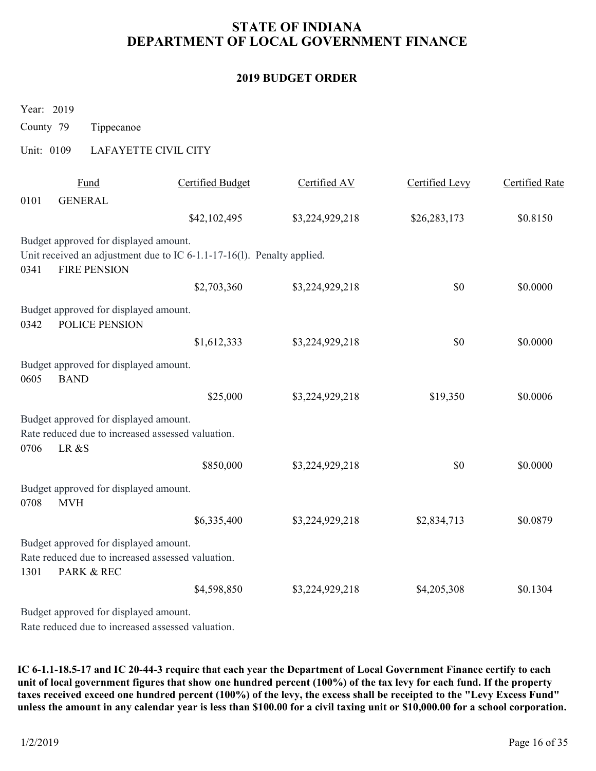# STATE OF INDIANA DEPARTMENT OF LOCAL GOVERNMENT FINANCE STATE OF INDIANA<br>
DEPARTMENT OF LOCAL GOVERNMENT I<br>
2019 BUDGET ORDER<br>
Year: 2019<br>
County 79 Tippecanoe<br>
Unit: 0109 LAFAYETTE CIVIL CITY<br>
<u>Fund</u> Certified Budget Certified AV</u>

### 2019 BUDGET ORDER

|                          | <b>STATE OF INDIANA</b><br>DEPARTMENT OF LOCAL GOVERNMENT FINANCE |                                                                        |                 |                |                       |  |  |  |
|--------------------------|-------------------------------------------------------------------|------------------------------------------------------------------------|-----------------|----------------|-----------------------|--|--|--|
| <b>2019 BUDGET ORDER</b> |                                                                   |                                                                        |                 |                |                       |  |  |  |
| Year: 2019<br>County 79  | Tippecanoe                                                        |                                                                        |                 |                |                       |  |  |  |
| Unit: 0109               |                                                                   | LAFAYETTE CIVIL CITY                                                   |                 |                |                       |  |  |  |
|                          | Fund                                                              | <b>Certified Budget</b>                                                | Certified AV    | Certified Levy | <b>Certified Rate</b> |  |  |  |
| 0101                     | <b>GENERAL</b>                                                    | \$42,102,495                                                           | \$3,224,929,218 | \$26,283,173   | \$0.8150              |  |  |  |
| 0341                     | Budget approved for displayed amount.<br><b>FIRE PENSION</b>      | Unit received an adjustment due to IC 6-1.1-17-16(1). Penalty applied. |                 |                |                       |  |  |  |
|                          |                                                                   | \$2,703,360                                                            | \$3,224,929,218 | \$0            | \$0.0000              |  |  |  |
| 0342                     | Budget approved for displayed amount.<br>POLICE PENSION           |                                                                        |                 |                |                       |  |  |  |
|                          |                                                                   | \$1,612,333                                                            | \$3,224,929,218 | $\$0$          | \$0.0000              |  |  |  |
| 0605                     | Budget approved for displayed amount.<br><b>BAND</b>              |                                                                        |                 |                |                       |  |  |  |
|                          |                                                                   | \$25,000                                                               | \$3,224,929,218 | \$19,350       | \$0.0006              |  |  |  |
| 0706                     | Budget approved for displayed amount.<br>LR &S                    | Rate reduced due to increased assessed valuation.                      |                 |                |                       |  |  |  |
|                          |                                                                   | \$850,000                                                              | \$3,224,929,218 | \$0            | \$0.0000              |  |  |  |
| 0708                     | Budget approved for displayed amount.<br><b>MVH</b>               |                                                                        |                 |                |                       |  |  |  |
|                          |                                                                   | \$6,335,400                                                            | \$3,224,929,218 | \$2,834,713    | \$0.0879              |  |  |  |
|                          | Budget approved for displayed amount.                             |                                                                        |                 |                |                       |  |  |  |
| 1301                     | Rate reduced due to increased assessed valuation.<br>PARK & REC   |                                                                        |                 |                |                       |  |  |  |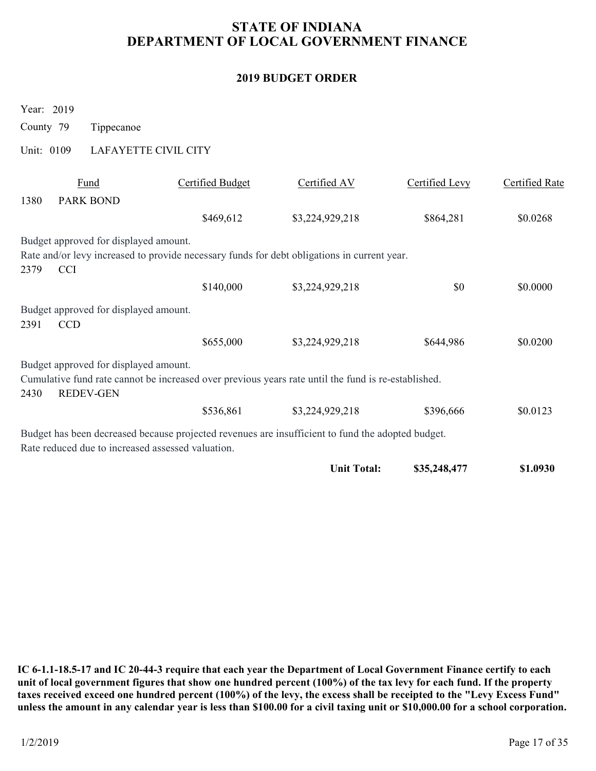### 2019 BUDGET ORDER

|                                       |                                                     |                         | <b>2019 BUDGET ORDER</b>                                                                            |                |                       |
|---------------------------------------|-----------------------------------------------------|-------------------------|-----------------------------------------------------------------------------------------------------|----------------|-----------------------|
| Year: 2019<br>County 79<br>Unit: 0109 | Tippecanoe                                          | LAFAYETTE CIVIL CITY    |                                                                                                     |                |                       |
|                                       |                                                     |                         |                                                                                                     |                |                       |
| 1380                                  | Fund<br>PARK BOND                                   | <b>Certified Budget</b> | Certified AV                                                                                        | Certified Levy | <b>Certified Rate</b> |
|                                       |                                                     | \$469,612               | \$3,224,929,218                                                                                     | \$864,281      | \$0.0268              |
| 2379                                  | Budget approved for displayed amount.<br><b>CCI</b> |                         | Rate and/or levy increased to provide necessary funds for debt obligations in current year.         |                |                       |
|                                       |                                                     | \$140,000               | \$3,224,929,218                                                                                     | \$0            | \$0.0000              |
| 2391                                  | Budget approved for displayed amount.<br><b>CCD</b> |                         |                                                                                                     |                |                       |
|                                       |                                                     | \$655,000               | \$3,224,929,218                                                                                     | \$644,986      | \$0.0200              |
|                                       |                                                     |                         |                                                                                                     |                |                       |
| 2430                                  | Budget approved for displayed amount.<br>REDEV-GEN  |                         | Cumulative fund rate cannot be increased over previous years rate until the fund is re-established. |                |                       |
|                                       |                                                     | \$536,861               | \$3,224,929,218                                                                                     | \$396,666      | \$0.0123              |
|                                       | Rate reduced due to increased assessed valuation.   |                         | Budget has been decreased because projected revenues are insufficient to fund the adopted budget.   |                |                       |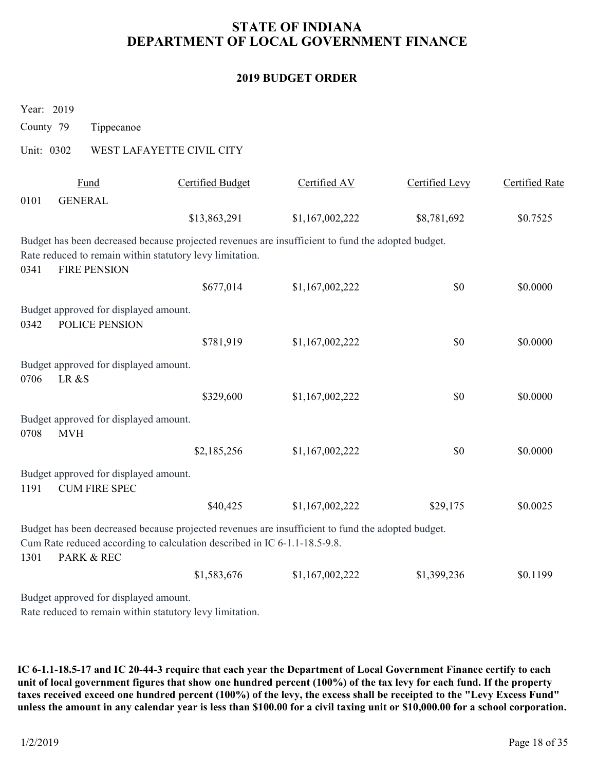### 2019 BUDGET ORDER

|                                                                                                                                                                                              |                                                                                                   | <b>STATE OF INDIANA</b><br>DEPARTMENT OF LOCAL GOVERNMENT FINANCE |                |                       |  |  |  |  |  |
|----------------------------------------------------------------------------------------------------------------------------------------------------------------------------------------------|---------------------------------------------------------------------------------------------------|-------------------------------------------------------------------|----------------|-----------------------|--|--|--|--|--|
| <b>2019 BUDGET ORDER</b>                                                                                                                                                                     |                                                                                                   |                                                                   |                |                       |  |  |  |  |  |
| Year: 2019                                                                                                                                                                                   |                                                                                                   |                                                                   |                |                       |  |  |  |  |  |
| County 79<br>Tippecanoe                                                                                                                                                                      |                                                                                                   |                                                                   |                |                       |  |  |  |  |  |
| Unit: 0302                                                                                                                                                                                   | WEST LAFAYETTE CIVIL CITY                                                                         |                                                                   |                |                       |  |  |  |  |  |
| Fund<br>0101<br><b>GENERAL</b>                                                                                                                                                               | <b>Certified Budget</b>                                                                           | Certified AV                                                      | Certified Levy | <b>Certified Rate</b> |  |  |  |  |  |
|                                                                                                                                                                                              | \$13,863,291                                                                                      | \$1,167,002,222                                                   | \$8,781,692    | \$0.7525              |  |  |  |  |  |
| Budget has been decreased because projected revenues are insufficient to fund the adopted budget.<br>Rate reduced to remain within statutory levy limitation.<br><b>FIRE PENSION</b><br>0341 |                                                                                                   |                                                                   |                |                       |  |  |  |  |  |
|                                                                                                                                                                                              | \$677,014                                                                                         | \$1,167,002,222                                                   | \$0            | \$0.0000              |  |  |  |  |  |
| Budget approved for displayed amount.<br>POLICE PENSION<br>0342                                                                                                                              |                                                                                                   |                                                                   |                |                       |  |  |  |  |  |
|                                                                                                                                                                                              | \$781,919                                                                                         | \$1,167,002,222                                                   | $\$0$          | \$0.0000              |  |  |  |  |  |
| Budget approved for displayed amount.<br>0706 LR &S                                                                                                                                          |                                                                                                   |                                                                   |                |                       |  |  |  |  |  |
|                                                                                                                                                                                              | \$329,600                                                                                         | \$1,167,002,222                                                   | \$0            | \$0.0000              |  |  |  |  |  |
| Budget approved for displayed amount.<br>0708<br><b>MVH</b>                                                                                                                                  |                                                                                                   |                                                                   |                |                       |  |  |  |  |  |
|                                                                                                                                                                                              | \$2,185,256                                                                                       | \$1,167,002,222                                                   | \$0            | \$0.0000              |  |  |  |  |  |
| Budget approved for displayed amount.<br><b>CUM FIRE SPEC</b><br>1191                                                                                                                        |                                                                                                   |                                                                   |                |                       |  |  |  |  |  |
|                                                                                                                                                                                              | \$40,425                                                                                          | \$1,167,002,222                                                   | \$29,175       | \$0.0025              |  |  |  |  |  |
|                                                                                                                                                                                              | Budget has been decreased because projected revenues are insufficient to fund the adopted budget. |                                                                   |                |                       |  |  |  |  |  |
| Cum Rate reduced according to calculation described in IC 6-1.1-18.5-9.8.<br>PARK & REC<br>1301                                                                                              |                                                                                                   |                                                                   |                |                       |  |  |  |  |  |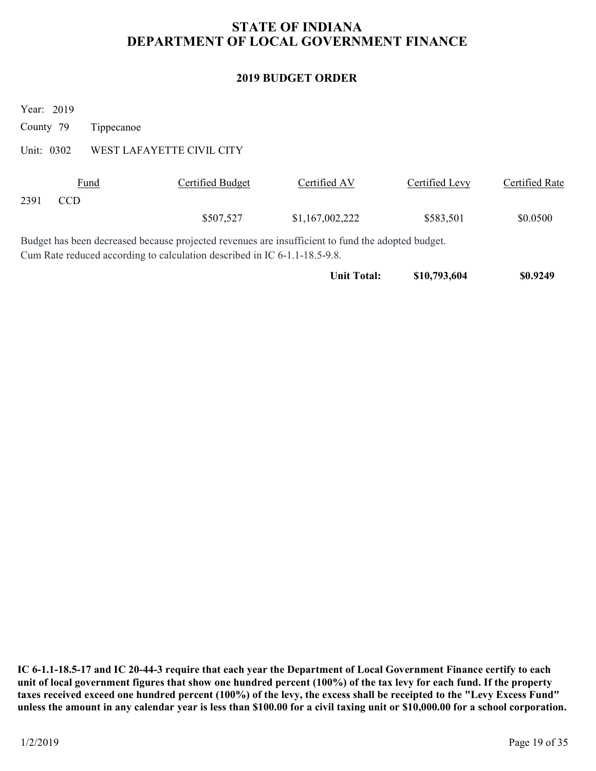# STATE OF INDIANA DEPARTMENT OF LOCAL GOVERNMENT FINANCE STATE OF INDIANA<br>
DEPARTMENT OF LOCAL GOVERNMENT I<br>
2019 BUDGET ORDER<br>
Year: 2019<br>
County 79 Tippecanoe<br>
Unit: 0302 WEST LAFAYETTE CIVIL CITY<br>
<u>Fund</u> Certified Budget Certified AV</u>

### 2019 BUDGET ORDER

|                                                     | DEPARTMENT OF LOCAL GOVERNMENT FINANCE                                                                                                                                         | <b>STATE OF INDIANA</b>  |                |                       |
|-----------------------------------------------------|--------------------------------------------------------------------------------------------------------------------------------------------------------------------------------|--------------------------|----------------|-----------------------|
|                                                     |                                                                                                                                                                                | <b>2019 BUDGET ORDER</b> |                |                       |
| Year: 2019<br>County 79<br>Tippecanoe<br>Unit: 0302 | WEST LAFAYETTE CIVIL CITY                                                                                                                                                      |                          |                |                       |
| Fund<br>2391<br>CCD                                 | <b>Certified Budget</b>                                                                                                                                                        | Certified AV             | Certified Levy | <b>Certified Rate</b> |
|                                                     | \$507,527                                                                                                                                                                      | \$1,167,002,222          | \$583,501      | \$0.0500              |
|                                                     | Budget has been decreased because projected revenues are insufficient to fund the adopted budget.<br>Cum Rate reduced according to calculation described in IC 6-1.1-18.5-9.8. |                          |                |                       |
|                                                     |                                                                                                                                                                                | <b>Unit Total:</b>       | \$10,793,604   | \$0.9249              |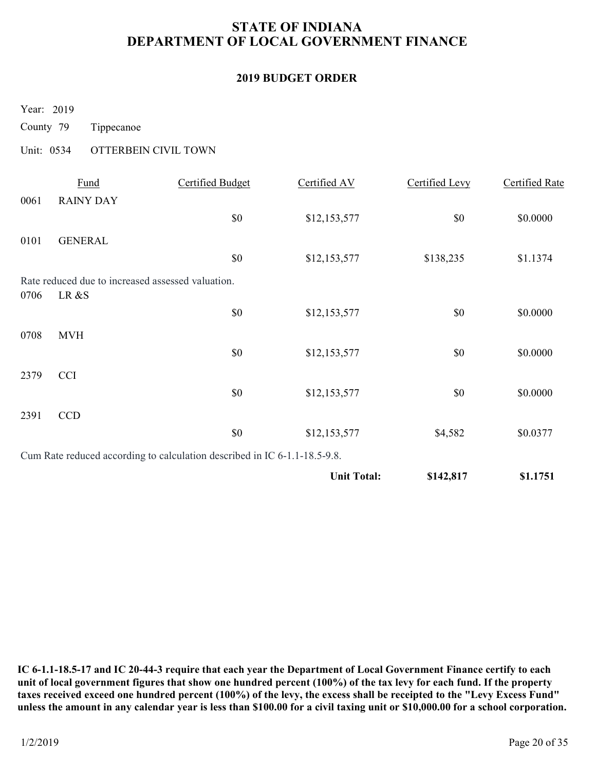# STATE OF INDIANA DEPARTMENT OF LOCAL GOVERNMENT FINANCE STATE OF INDIANA<br>
DEPARTMENT OF LOCAL GOVERNMENT I<br>
2019 BUDGET ORDER<br>
Year: 2019<br>
County 79 Tippecanoe<br>
Unit: 0534 OTTERBEIN CIVIL TOWN<br>
<u>Fund</u> Certified Budget Certified AV</u>

### 2019 BUDGET ORDER

|                                     |                          |                                                                           | <b>2019 BUDGET ORDER</b> |                       |                       |
|-------------------------------------|--------------------------|---------------------------------------------------------------------------|--------------------------|-----------------------|-----------------------|
| Year: 2019                          |                          |                                                                           |                          |                       |                       |
| County 79                           | Tippecanoe               |                                                                           |                          |                       |                       |
| Unit: 0534                          | OTTERBEIN CIVIL TOWN     |                                                                           |                          |                       |                       |
| 0061                                | Fund<br><b>RAINY DAY</b> | <b>Certified Budget</b>                                                   | Certified AV             | <b>Certified Levy</b> | <b>Certified Rate</b> |
|                                     |                          | \$0                                                                       | \$12,153,577             | \$0\$                 | \$0.0000              |
| 0101                                | <b>GENERAL</b>           |                                                                           |                          |                       |                       |
|                                     |                          | \$0                                                                       | \$12,153,577             | \$138,235             | \$1.1374              |
| LR &S<br>0706                       |                          | Rate reduced due to increased assessed valuation.                         |                          |                       |                       |
|                                     |                          | \$0                                                                       | \$12,153,577             | \$0                   | \$0.0000              |
| 0708 MVH                            |                          |                                                                           |                          |                       |                       |
|                                     |                          | $\$0$                                                                     | \$12,153,577             | $\$0$                 | \$0.0000              |
| <b>CCI</b><br>2379                  |                          |                                                                           |                          |                       |                       |
|                                     |                          | $\$0$                                                                     | \$12,153,577             | $\$0$                 | \$0.0000              |
| $\ensuremath{\textup{CCD}}$<br>2391 |                          | $\$0$                                                                     | \$12,153,577             | \$4,582               | \$0.0377              |
|                                     |                          | Cum Rate reduced according to calculation described in IC 6-1.1-18.5-9.8. |                          |                       |                       |
|                                     |                          |                                                                           | <b>Unit Total:</b>       | \$142,817             | \$1.1751              |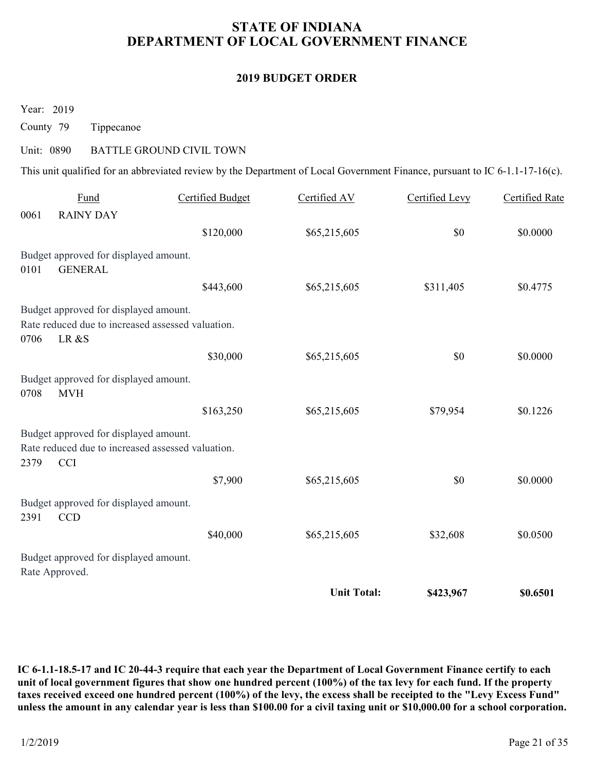# STATE OF INDIANA DEPARTMENT OF LOCAL GOVERNMENT FINANCE STATE OF INDIANA<br>
DEPARTMENT OF LOCAL GOVERNMENT I<br>
2019 BUDGET ORDER<br>
Year: 2019<br>
County 79 Tippecanoe<br>
Unit: 0890 BATTLE GROUND CIVIL TOWN<br>
This unit qualified for an abbreviated review by the Department of Local Governm

### 2019 BUDGET ORDER

|                          | DEPARTMENT OF LOCAL GOVERNMENT FINANCE                                                                   |                          |                                                                                                                             |                       |                       |  |  |
|--------------------------|----------------------------------------------------------------------------------------------------------|--------------------------|-----------------------------------------------------------------------------------------------------------------------------|-----------------------|-----------------------|--|--|
| <b>2019 BUDGET ORDER</b> |                                                                                                          |                          |                                                                                                                             |                       |                       |  |  |
| Year: 2019               |                                                                                                          |                          |                                                                                                                             |                       |                       |  |  |
| County 79                | Tippecanoe                                                                                               |                          |                                                                                                                             |                       |                       |  |  |
| Unit: 0890               |                                                                                                          | BATTLE GROUND CIVIL TOWN |                                                                                                                             |                       |                       |  |  |
|                          |                                                                                                          |                          | This unit qualified for an abbreviated review by the Department of Local Government Finance, pursuant to IC 6-1.1-17-16(c). |                       |                       |  |  |
| 0061                     | Fund<br><b>RAINY DAY</b>                                                                                 | <b>Certified Budget</b>  | Certified AV                                                                                                                | <b>Certified Levy</b> | <b>Certified Rate</b> |  |  |
|                          |                                                                                                          | \$120,000                | \$65,215,605                                                                                                                | \$0                   | \$0.0000              |  |  |
| 0101                     | Budget approved for displayed amount.<br><b>GENERAL</b>                                                  |                          |                                                                                                                             |                       |                       |  |  |
|                          |                                                                                                          | \$443,600                | \$65,215,605                                                                                                                | \$311,405             | \$0.4775              |  |  |
| 0706                     | Budget approved for displayed amount.<br>Rate reduced due to increased assessed valuation.<br>LR &S      |                          |                                                                                                                             |                       |                       |  |  |
|                          |                                                                                                          | \$30,000                 | \$65,215,605                                                                                                                | \$0                   | \$0.0000              |  |  |
| 0708                     | Budget approved for displayed amount.<br><b>MVH</b>                                                      |                          |                                                                                                                             |                       |                       |  |  |
|                          |                                                                                                          | \$163,250                | \$65,215,605                                                                                                                | \$79,954              | \$0.1226              |  |  |
| 2379                     | Budget approved for displayed amount.<br>Rate reduced due to increased assessed valuation.<br><b>CCI</b> |                          |                                                                                                                             |                       |                       |  |  |
|                          |                                                                                                          | \$7,900                  | \$65,215,605                                                                                                                | \$0                   | \$0.0000              |  |  |
| 2391                     | Budget approved for displayed amount.<br>CCD                                                             |                          |                                                                                                                             |                       |                       |  |  |
|                          |                                                                                                          | \$40,000                 | \$65,215,605                                                                                                                | \$32,608              | \$0.0500              |  |  |
|                          |                                                                                                          |                          |                                                                                                                             |                       |                       |  |  |
| Rate Approved.           | Budget approved for displayed amount.                                                                    |                          |                                                                                                                             |                       |                       |  |  |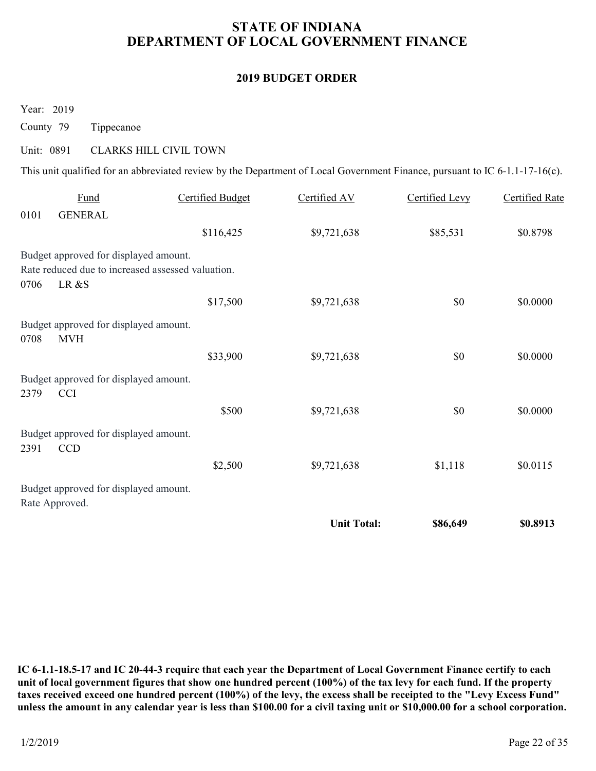# STATE OF INDIANA DEPARTMENT OF LOCAL GOVERNMENT FINANCE STATE OF INDIANA<br>
DEPARTMENT OF LOCAL GOVERNMENT I<br>
2019 BUDGET ORDER<br>
Year: 2019<br>
County 79 Tippecanoe<br>
Unit: 0891 CLARKS HILL CIVIL TOWN<br>
This unit qualified for an abbreviated review by the Department of Local Governmen

### 2019 BUDGET ORDER

| <b>2019 BUDGET ORDER</b>                                                                                                                                                                                                           |                                                                                                                             |                            |                       |                       |  |  |  |
|------------------------------------------------------------------------------------------------------------------------------------------------------------------------------------------------------------------------------------|-----------------------------------------------------------------------------------------------------------------------------|----------------------------|-----------------------|-----------------------|--|--|--|
| Year: 2019                                                                                                                                                                                                                         |                                                                                                                             |                            |                       |                       |  |  |  |
| County 79<br>Tippecanoe                                                                                                                                                                                                            |                                                                                                                             |                            |                       |                       |  |  |  |
| Unit: 0891                                                                                                                                                                                                                         | <b>CLARKS HILL CIVIL TOWN</b>                                                                                               |                            |                       |                       |  |  |  |
|                                                                                                                                                                                                                                    | This unit qualified for an abbreviated review by the Department of Local Government Finance, pursuant to IC 6-1.1-17-16(c). |                            |                       |                       |  |  |  |
| <b>Fund</b>                                                                                                                                                                                                                        | <b>Certified Budget</b>                                                                                                     | Certified AV               | <b>Certified Levy</b> | <b>Certified Rate</b> |  |  |  |
| 0101<br><b>GENERAL</b>                                                                                                                                                                                                             | \$116,425                                                                                                                   | \$9,721,638                | \$85,531              | \$0.8798              |  |  |  |
| Budget approved for displayed amount.<br>Rate reduced due to increased assessed valuation.<br>LR &S<br>0706<br>Budget approved for displayed amount.<br>0708<br>MVH<br>Budget approved for displayed amount.<br>2379<br><b>CCI</b> | \$17,500<br>\$33,900                                                                                                        | \$9,721,638<br>\$9,721,638 | \$0<br>$\$0$          | \$0.0000<br>\$0.0000  |  |  |  |
|                                                                                                                                                                                                                                    |                                                                                                                             | \$9,721,638                | $\$0$                 | \$0.0000              |  |  |  |
|                                                                                                                                                                                                                                    | \$500                                                                                                                       |                            |                       |                       |  |  |  |
| CCD                                                                                                                                                                                                                                |                                                                                                                             |                            |                       |                       |  |  |  |
| Budget approved for displayed amount.<br>2391<br>Budget approved for displayed amount.<br>Rate Approved.                                                                                                                           | \$2,500                                                                                                                     | \$9,721,638                | \$1,118               | \$0.0115              |  |  |  |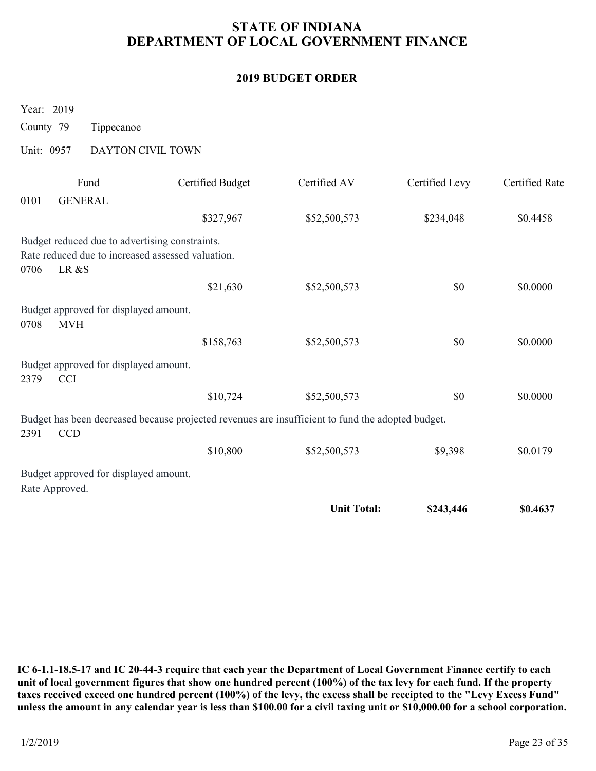# STATE OF INDIANA DEPARTMENT OF LOCAL GOVERNMENT FINANCE STATE OF INDIANA<br>
DEPARTMENT OF LOCAL GOVERNMENT I<br>
2019 BUDGET ORDER<br>
Year: 2019<br>
County 79 Tippecanoe<br>
Unit: 0957 DAYTON CIVIL TOWN<br>
<u>Fund</u> Certified Budget Certified AV</u>

### 2019 BUDGET ORDER

| <b>STATE OF INDIANA</b><br>DEPARTMENT OF LOCAL GOVERNMENT FINANCE |                                                                                                   |                          |                |                       |  |  |  |
|-------------------------------------------------------------------|---------------------------------------------------------------------------------------------------|--------------------------|----------------|-----------------------|--|--|--|
|                                                                   |                                                                                                   | <b>2019 BUDGET ORDER</b> |                |                       |  |  |  |
| Year: 2019<br>County 79<br>Tippecanoe<br>Unit: 0957               | DAYTON CIVIL TOWN                                                                                 |                          |                |                       |  |  |  |
| Fund                                                              | <b>Certified Budget</b>                                                                           | Certified AV             | Certified Levy | <b>Certified Rate</b> |  |  |  |
| 0101<br><b>GENERAL</b>                                            | \$327,967                                                                                         | \$52,500,573             | \$234,048      | \$0.4458              |  |  |  |
| Budget reduced due to advertising constraints.<br>LR &S<br>0706   | Rate reduced due to increased assessed valuation.                                                 |                          |                |                       |  |  |  |
|                                                                   | \$21,630                                                                                          | \$52,500,573             | \$0            | \$0.0000              |  |  |  |
| Budget approved for displayed amount.<br><b>MVH</b><br>0708       |                                                                                                   |                          |                |                       |  |  |  |
|                                                                   | \$158,763                                                                                         | \$52,500,573             | $\$0$          | \$0.0000              |  |  |  |
| Budget approved for displayed amount.<br>2379<br><b>CCI</b>       |                                                                                                   |                          |                |                       |  |  |  |
|                                                                   | \$10,724                                                                                          | \$52,500,573             | \$0            | \$0.0000              |  |  |  |
| 2391<br>$\ensuremath{\textup{CCD}}$                               | Budget has been decreased because projected revenues are insufficient to fund the adopted budget. |                          |                |                       |  |  |  |
|                                                                   | \$10,800                                                                                          | \$52,500,573             | \$9,398        | \$0.0179              |  |  |  |
| Budget approved for displayed amount.                             |                                                                                                   |                          |                |                       |  |  |  |
| Rate Approved.                                                    |                                                                                                   |                          |                |                       |  |  |  |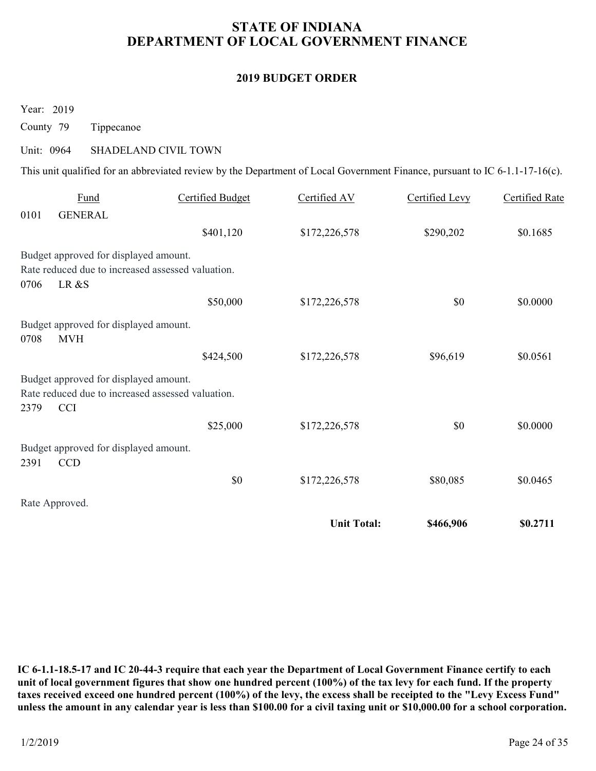# STATE OF INDIANA DEPARTMENT OF LOCAL GOVERNMENT FINANCE STATE OF INDIANA<br>
DEPARTMENT OF LOCAL GOVERNMENT I<br>
2019 BUDGET ORDER<br>
Year: 2019<br>
County 79 Tippecanoe<br>
Unit: 0964 SHADELAND CIVIL TOWN<br>
This unit qualified for an abbreviated review by the Department of Local Government

### 2019 BUDGET ORDER

|                                       |                                                                                                                                                                   | <b>STATE OF INDIANA</b><br>DEPARTMENT OF LOCAL GOVERNMENT FINANCE |                |                       |  |  |  |  |  |
|---------------------------------------|-------------------------------------------------------------------------------------------------------------------------------------------------------------------|-------------------------------------------------------------------|----------------|-----------------------|--|--|--|--|--|
| <b>2019 BUDGET ORDER</b>              |                                                                                                                                                                   |                                                                   |                |                       |  |  |  |  |  |
| Year: 2019<br>County 79<br>Unit: 0964 | Tippecanoe<br>SHADELAND CIVIL TOWN<br>This unit qualified for an abbreviated review by the Department of Local Government Finance, pursuant to IC 6-1.1-17-16(c). |                                                                   |                |                       |  |  |  |  |  |
| <b>Fund</b>                           | <b>Certified Budget</b>                                                                                                                                           | Certified AV                                                      | Certified Levy | <b>Certified Rate</b> |  |  |  |  |  |
| 0101<br><b>GENERAL</b>                |                                                                                                                                                                   |                                                                   |                |                       |  |  |  |  |  |
|                                       | \$401,120                                                                                                                                                         | \$172,226,578                                                     | \$290,202      | \$0.1685              |  |  |  |  |  |
| LR &S<br>0706                         | Budget approved for displayed amount.<br>Rate reduced due to increased assessed valuation.                                                                        |                                                                   |                |                       |  |  |  |  |  |
|                                       | \$50,000                                                                                                                                                          | \$172,226,578                                                     | \$0            | \$0.0000              |  |  |  |  |  |
| 0708<br><b>MVH</b>                    | Budget approved for displayed amount.                                                                                                                             |                                                                   |                |                       |  |  |  |  |  |
|                                       | \$424,500                                                                                                                                                         | \$172,226,578                                                     | \$96,619       | \$0.0561              |  |  |  |  |  |
|                                       | Budget approved for displayed amount.<br>Rate reduced due to increased assessed valuation.                                                                        |                                                                   |                |                       |  |  |  |  |  |
|                                       |                                                                                                                                                                   |                                                                   |                |                       |  |  |  |  |  |
| <b>CCI</b><br>2379                    | \$25,000                                                                                                                                                          | \$172,226,578                                                     | $\$0$          | \$0.0000              |  |  |  |  |  |
| 2391<br><b>CCD</b>                    | Budget approved for displayed amount.                                                                                                                             |                                                                   |                |                       |  |  |  |  |  |
|                                       | $\$0$                                                                                                                                                             | \$172,226,578                                                     | \$80,085       | \$0.0465              |  |  |  |  |  |
| Rate Approved.                        |                                                                                                                                                                   |                                                                   |                |                       |  |  |  |  |  |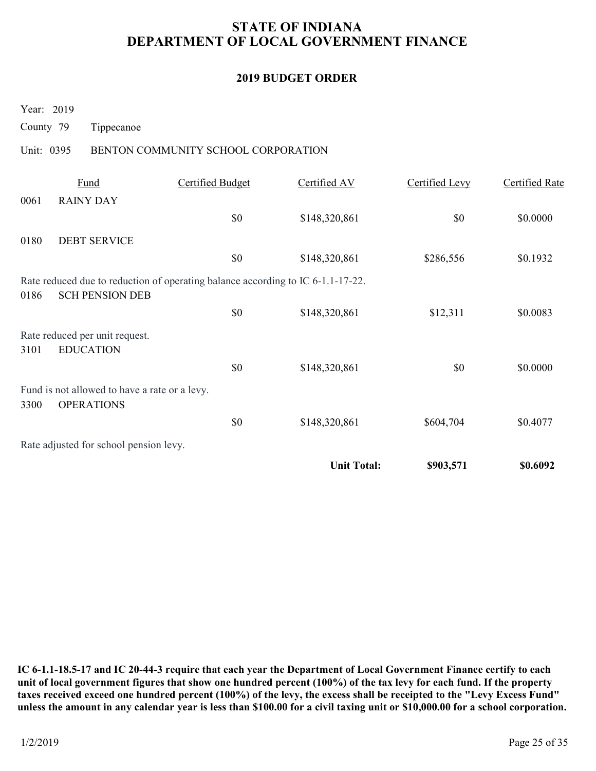# STATE OF INDIANA DEPARTMENT OF LOCAL GOVERNMENT FINANCE STATE OF INDIANA<br>
DEPARTMENT OF LOCAL GOVERNMENT I<br>
2019 BUDGET ORDER<br>
Year: 2019<br>
County 79 Tippecanoe<br>
Unit: 0395 BENTON COMMUNITY SCHOOL CORPORATION<br>
<u>Fund</u> Certified Budget Certified AV

### 2019 BUDGET ORDER

| <b>2019 BUDGET ORDER</b><br>Year: 2019<br>County 79<br>Tippecanoe<br>Unit: 0395<br>BENTON COMMUNITY SCHOOL CORPORATION<br>Fund<br><b>Certified Budget</b><br>Certified AV<br><b>Certified Levy</b><br><b>Certified Rate</b><br><b>RAINY DAY</b><br>0061<br>\$0<br>\$0<br>\$148,320,861<br>\$0.0000<br><b>DEBT SERVICE</b><br>0180<br>\$0<br>\$148,320,861<br>\$286,556<br>\$0.1932<br>Rate reduced due to reduction of operating balance according to IC 6-1.1-17-22.<br><b>SCH PENSION DEB</b><br>0186<br>\$0<br>\$148,320,861<br>\$12,311<br>\$0.0083<br>Rate reduced per unit request.<br><b>EDUCATION</b><br>3101<br>$\$0$<br>\$148,320,861<br>$\$0$<br>\$0.0000<br>Fund is not allowed to have a rate or a levy.<br><b>OPERATIONS</b><br>3300<br>$\$0$<br>\$148,320,861<br>\$604,704<br>\$0.4077<br>Rate adjusted for school pension levy. | <b>Unit Total:</b><br>\$0.6092<br>\$903,571 | <b>STATE OF INDIANA</b><br>DEPARTMENT OF LOCAL GOVERNMENT FINANCE |  |  |  |  |  |  |  |
|-------------------------------------------------------------------------------------------------------------------------------------------------------------------------------------------------------------------------------------------------------------------------------------------------------------------------------------------------------------------------------------------------------------------------------------------------------------------------------------------------------------------------------------------------------------------------------------------------------------------------------------------------------------------------------------------------------------------------------------------------------------------------------------------------------------------------------------------------|---------------------------------------------|-------------------------------------------------------------------|--|--|--|--|--|--|--|
|                                                                                                                                                                                                                                                                                                                                                                                                                                                                                                                                                                                                                                                                                                                                                                                                                                                 |                                             |                                                                   |  |  |  |  |  |  |  |
|                                                                                                                                                                                                                                                                                                                                                                                                                                                                                                                                                                                                                                                                                                                                                                                                                                                 |                                             |                                                                   |  |  |  |  |  |  |  |
|                                                                                                                                                                                                                                                                                                                                                                                                                                                                                                                                                                                                                                                                                                                                                                                                                                                 |                                             |                                                                   |  |  |  |  |  |  |  |
|                                                                                                                                                                                                                                                                                                                                                                                                                                                                                                                                                                                                                                                                                                                                                                                                                                                 |                                             |                                                                   |  |  |  |  |  |  |  |
|                                                                                                                                                                                                                                                                                                                                                                                                                                                                                                                                                                                                                                                                                                                                                                                                                                                 |                                             |                                                                   |  |  |  |  |  |  |  |
|                                                                                                                                                                                                                                                                                                                                                                                                                                                                                                                                                                                                                                                                                                                                                                                                                                                 |                                             |                                                                   |  |  |  |  |  |  |  |
|                                                                                                                                                                                                                                                                                                                                                                                                                                                                                                                                                                                                                                                                                                                                                                                                                                                 |                                             |                                                                   |  |  |  |  |  |  |  |
|                                                                                                                                                                                                                                                                                                                                                                                                                                                                                                                                                                                                                                                                                                                                                                                                                                                 |                                             |                                                                   |  |  |  |  |  |  |  |
|                                                                                                                                                                                                                                                                                                                                                                                                                                                                                                                                                                                                                                                                                                                                                                                                                                                 |                                             |                                                                   |  |  |  |  |  |  |  |
|                                                                                                                                                                                                                                                                                                                                                                                                                                                                                                                                                                                                                                                                                                                                                                                                                                                 |                                             |                                                                   |  |  |  |  |  |  |  |
|                                                                                                                                                                                                                                                                                                                                                                                                                                                                                                                                                                                                                                                                                                                                                                                                                                                 |                                             |                                                                   |  |  |  |  |  |  |  |
|                                                                                                                                                                                                                                                                                                                                                                                                                                                                                                                                                                                                                                                                                                                                                                                                                                                 |                                             |                                                                   |  |  |  |  |  |  |  |
|                                                                                                                                                                                                                                                                                                                                                                                                                                                                                                                                                                                                                                                                                                                                                                                                                                                 |                                             |                                                                   |  |  |  |  |  |  |  |
|                                                                                                                                                                                                                                                                                                                                                                                                                                                                                                                                                                                                                                                                                                                                                                                                                                                 |                                             |                                                                   |  |  |  |  |  |  |  |
|                                                                                                                                                                                                                                                                                                                                                                                                                                                                                                                                                                                                                                                                                                                                                                                                                                                 |                                             |                                                                   |  |  |  |  |  |  |  |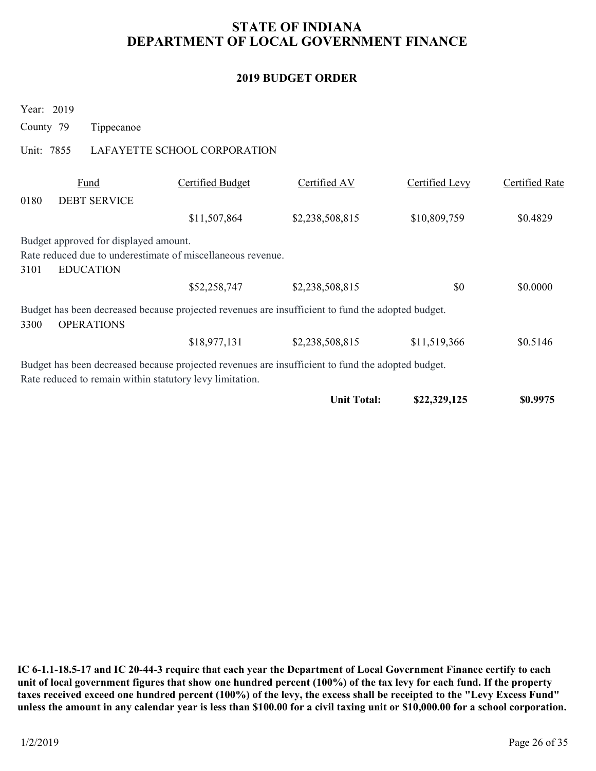### 2019 BUDGET ORDER

| <b>STATE OF INDIANA</b><br>DEPARTMENT OF LOCAL GOVERNMENT FINANCE                                                                                             |                              |                          |                |                       |  |  |  |
|---------------------------------------------------------------------------------------------------------------------------------------------------------------|------------------------------|--------------------------|----------------|-----------------------|--|--|--|
|                                                                                                                                                               |                              | <b>2019 BUDGET ORDER</b> |                |                       |  |  |  |
| Year: 2019<br>County 79<br>Tippecanoe<br>Unit: 7855                                                                                                           | LAFAYETTE SCHOOL CORPORATION |                          |                |                       |  |  |  |
|                                                                                                                                                               |                              |                          |                |                       |  |  |  |
| Fund<br>0180<br><b>DEBT SERVICE</b>                                                                                                                           | <b>Certified Budget</b>      | Certified AV             | Certified Levy | <b>Certified Rate</b> |  |  |  |
|                                                                                                                                                               | \$11,507,864                 | \$2,238,508,815          | \$10,809,759   | \$0.4829              |  |  |  |
| Budget approved for displayed amount.<br>Rate reduced due to underestimate of miscellaneous revenue.<br>3101<br><b>EDUCATION</b>                              |                              |                          |                |                       |  |  |  |
|                                                                                                                                                               | \$52,258,747                 | \$2,238,508,815          | \$0            | \$0.0000              |  |  |  |
| Budget has been decreased because projected revenues are insufficient to fund the adopted budget.<br><b>OPERATIONS</b><br>3300                                |                              |                          |                |                       |  |  |  |
|                                                                                                                                                               | \$18,977,131                 | \$2,238,508,815          | \$11,519,366   | \$0.5146              |  |  |  |
| Budget has been decreased because projected revenues are insufficient to fund the adopted budget.<br>Rate reduced to remain within statutory levy limitation. |                              |                          |                |                       |  |  |  |
|                                                                                                                                                               |                              | <b>Unit Total:</b>       | \$22,329,125   | \$0.9975              |  |  |  |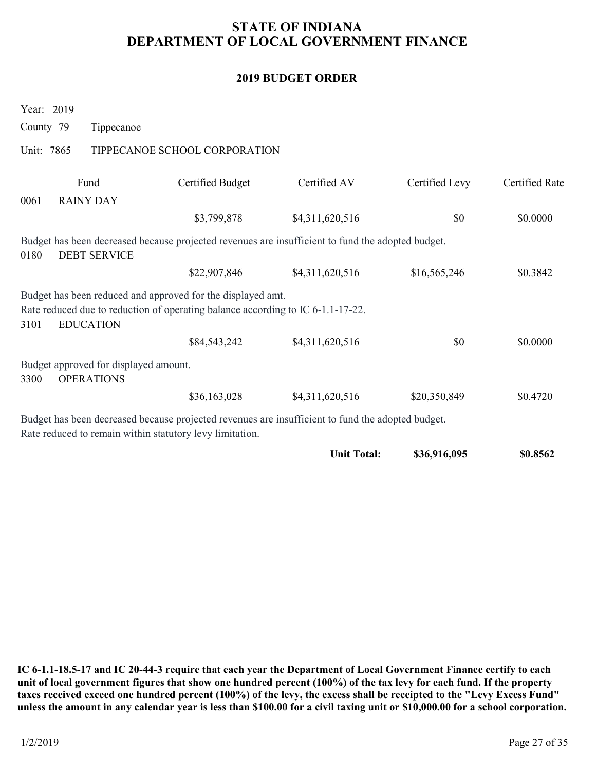### 2019 BUDGET ORDER

| <b>STATE OF INDIANA</b><br>DEPARTMENT OF LOCAL GOVERNMENT FINANCE  |                                                                                                                                                |                          |                |                       |  |  |  |
|--------------------------------------------------------------------|------------------------------------------------------------------------------------------------------------------------------------------------|--------------------------|----------------|-----------------------|--|--|--|
|                                                                    |                                                                                                                                                | <b>2019 BUDGET ORDER</b> |                |                       |  |  |  |
| Year: 2019<br>County 79<br>Tippecanoe                              |                                                                                                                                                |                          |                |                       |  |  |  |
| Unit: 7865                                                         | TIPPECANOE SCHOOL CORPORATION                                                                                                                  |                          |                |                       |  |  |  |
| Fund<br><b>RAINY DAY</b><br>0061                                   | <b>Certified Budget</b>                                                                                                                        | Certified AV             | Certified Levy | <b>Certified Rate</b> |  |  |  |
|                                                                    | \$3,799,878                                                                                                                                    | \$4,311,620,516          | \$0            | \$0.0000              |  |  |  |
| <b>DEBT SERVICE</b><br>0180                                        | Budget has been decreased because projected revenues are insufficient to fund the adopted budget.                                              |                          |                |                       |  |  |  |
|                                                                    | \$22,907,846                                                                                                                                   | \$4,311,620,516          | \$16,565,246   | \$0.3842              |  |  |  |
| <b>EDUCATION</b><br>3101                                           | Budget has been reduced and approved for the displayed amt.<br>Rate reduced due to reduction of operating balance according to IC 6-1.1-17-22. |                          |                |                       |  |  |  |
|                                                                    | \$84,543,242                                                                                                                                   | \$4,311,620,516          | \$0            | \$0.0000              |  |  |  |
| Budget approved for displayed amount.<br><b>OPERATIONS</b><br>3300 |                                                                                                                                                |                          |                |                       |  |  |  |
|                                                                    | \$36,163,028                                                                                                                                   | \$4,311,620,516          | \$20,350,849   | \$0.4720              |  |  |  |
| Rate reduced to remain within statutory levy limitation.           | Budget has been decreased because projected revenues are insufficient to fund the adopted budget.                                              |                          |                |                       |  |  |  |
|                                                                    |                                                                                                                                                | <b>Unit Total:</b>       | \$36,916,095   | \$0.8562              |  |  |  |

IC 6-1.1-18.5-17 and IC 20-44-3 require that each year the Department of Local Government Finance certify to each unit of local government figures that show one hundred percent (100%) of the tax levy for each fund. If the property taxes received exceed one hundred percent (100%) of the levy, the excess shall be receipted to the "Levy Excess Fund" unless the amount in any calendar year is less than \$100.00 for a civil taxing unit or \$10,000.00 for a school corporation.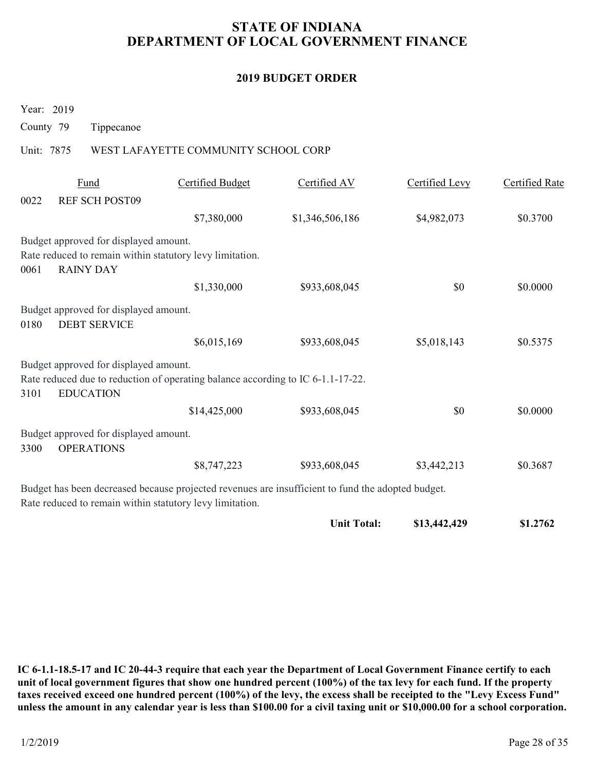# STATE OF INDIANA DEPARTMENT OF LOCAL GOVERNMENT FINANCE STATE OF INDIANA<br>
DEPARTMENT OF LOCAL GOVERNMENT I<br>
2019 BUDGET ORDER<br>
Year: 2019<br>
County 79 Tippecanoe<br>
Unit: 7875 WEST LAFAYETTE COMMUNITY SCHOOL CORP<br>
Fund Certified Budget Certified AV

### 2019 BUDGET ORDER

|                                                                                                                                                               | <b>STATE OF INDIANA</b><br>DEPARTMENT OF LOCAL GOVERNMENT FINANCE |                 |                |                       |  |  |  |  |
|---------------------------------------------------------------------------------------------------------------------------------------------------------------|-------------------------------------------------------------------|-----------------|----------------|-----------------------|--|--|--|--|
| <b>2019 BUDGET ORDER</b>                                                                                                                                      |                                                                   |                 |                |                       |  |  |  |  |
| Year: 2019<br>County 79<br>Tippecanoe                                                                                                                         |                                                                   |                 |                |                       |  |  |  |  |
| Unit: 7875                                                                                                                                                    | WEST LAFAYETTE COMMUNITY SCHOOL CORP                              |                 |                |                       |  |  |  |  |
| Fund                                                                                                                                                          | <b>Certified Budget</b>                                           | Certified AV    | Certified Levy | <b>Certified Rate</b> |  |  |  |  |
| 0022<br><b>REF SCH POST09</b>                                                                                                                                 |                                                                   |                 |                |                       |  |  |  |  |
|                                                                                                                                                               | \$7,380,000                                                       | \$1,346,506,186 | \$4,982,073    | \$0.3700              |  |  |  |  |
| Budget approved for displayed amount.<br>Rate reduced to remain within statutory levy limitation.<br><b>RAINY DAY</b><br>0061                                 |                                                                   |                 |                |                       |  |  |  |  |
|                                                                                                                                                               | \$1,330,000                                                       | \$933,608,045   | \$0            | \$0.0000              |  |  |  |  |
| Budget approved for displayed amount.                                                                                                                         |                                                                   |                 |                |                       |  |  |  |  |
| <b>DEBT SERVICE</b><br>0180                                                                                                                                   |                                                                   |                 |                |                       |  |  |  |  |
|                                                                                                                                                               | \$6,015,169                                                       | \$933,608,045   | \$5,018,143    | \$0.5375              |  |  |  |  |
| Budget approved for displayed amount.<br>Rate reduced due to reduction of operating balance according to IC 6-1.1-17-22.<br><b>EDUCATION</b><br>3101          |                                                                   |                 |                |                       |  |  |  |  |
|                                                                                                                                                               | \$14,425,000                                                      | \$933,608,045   | $\$0$          | \$0.0000              |  |  |  |  |
| Budget approved for displayed amount.<br><b>OPERATIONS</b><br>3300                                                                                            |                                                                   |                 |                |                       |  |  |  |  |
|                                                                                                                                                               | \$8,747,223                                                       | \$933,608,045   | \$3,442,213    | \$0.3687              |  |  |  |  |
| Budget has been decreased because projected revenues are insufficient to fund the adopted budget.<br>Rate reduced to remain within statutory levy limitation. |                                                                   |                 |                |                       |  |  |  |  |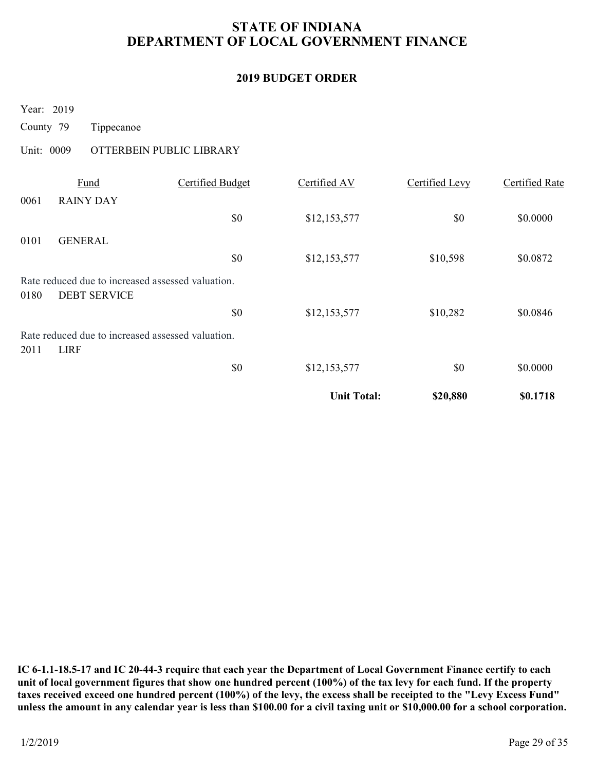# STATE OF INDIANA DEPARTMENT OF LOCAL GOVERNMENT FINANCE STATE OF INDIANA<br>
DEPARTMENT OF LOCAL GOVERNMENT I<br>
2019 BUDGET ORDER<br>
Year: 2019<br>
County 79 Tippecanoe<br>
Unit: 0009 OTTERBEIN PUBLIC LIBRARY<br>
<u>Fund</u> Certified Budget Certified AV</u>

### 2019 BUDGET ORDER

| <b>STATE OF INDIANA</b><br>DEPARTMENT OF LOCAL GOVERNMENT FINANCE                |                          |                          |                       |                       |  |  |
|----------------------------------------------------------------------------------|--------------------------|--------------------------|-----------------------|-----------------------|--|--|
|                                                                                  |                          | <b>2019 BUDGET ORDER</b> |                       |                       |  |  |
| Year: 2019<br>County 79<br>Tippecanoe                                            |                          |                          |                       |                       |  |  |
| Unit: 0009                                                                       | OTTERBEIN PUBLIC LIBRARY |                          |                       |                       |  |  |
| Fund<br><b>RAINY DAY</b><br>0061                                                 | <b>Certified Budget</b>  | Certified AV             | <b>Certified Levy</b> | <b>Certified Rate</b> |  |  |
|                                                                                  | $\$0$                    | \$12,153,577             | \$0                   | \$0.0000              |  |  |
| 0101<br><b>GENERAL</b>                                                           | \$0                      | \$12,153,577             | \$10,598              | \$0.0872              |  |  |
| Rate reduced due to increased assessed valuation.<br><b>DEBT SERVICE</b><br>0180 |                          |                          |                       |                       |  |  |
| Rate reduced due to increased assessed valuation.<br>2011<br><b>LIRF</b>         | \$0                      | \$12,153,577             | \$10,282              | \$0.0846              |  |  |
|                                                                                  | $\$0$                    | \$12,153,577             | $\$0$                 | \$0.0000              |  |  |
|                                                                                  |                          | <b>Unit Total:</b>       | \$20,880              | \$0.1718              |  |  |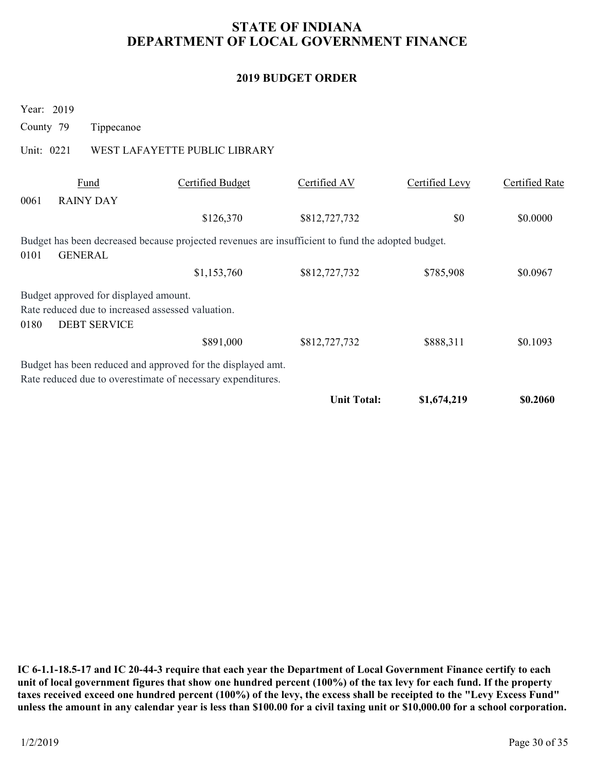# STATE OF INDIANA DEPARTMENT OF LOCAL GOVERNMENT FINANCE STATE OF INDIANA<br>
DEPARTMENT OF LOCAL GOVERNMENT I<br>
2019 BUDGET ORDER<br>
Year: 2019<br>
County 79 Tippecanoe<br>
Unit: 0221 WEST LAFAYETTE PUBLIC LIBRARY<br>
<u>Fund</u> Certified Budget Certified AV</u>

### 2019 BUDGET ORDER

|                                                                                                                             |                               |                          | DEPARTMENT OF LOCAL GOVERNMENT FINANCE |                       |
|-----------------------------------------------------------------------------------------------------------------------------|-------------------------------|--------------------------|----------------------------------------|-----------------------|
|                                                                                                                             |                               | <b>2019 BUDGET ORDER</b> |                                        |                       |
| Year: 2019<br>County 79<br>Tippecanoe                                                                                       |                               |                          |                                        |                       |
| Unit: 0221                                                                                                                  | WEST LAFAYETTE PUBLIC LIBRARY |                          |                                        |                       |
| Fund<br>0061<br><b>RAINY DAY</b>                                                                                            | <b>Certified Budget</b>       | Certified AV             | Certified Levy                         | <b>Certified Rate</b> |
|                                                                                                                             | \$126,370                     | \$812,727,732            | \$0                                    | \$0.0000              |
| Budget has been decreased because projected revenues are insufficient to fund the adopted budget.<br><b>GENERAL</b><br>0101 |                               |                          |                                        |                       |
|                                                                                                                             | \$1,153,760                   | \$812,727,732            | \$785,908                              | \$0.0967              |
| Budget approved for displayed amount.<br>Rate reduced due to increased assessed valuation.<br><b>DEBT SERVICE</b><br>0180   |                               |                          |                                        |                       |
|                                                                                                                             | \$891,000                     | \$812,727,732            | \$888,311                              | \$0.1093              |
| Budget has been reduced and approved for the displayed amt.<br>Rate reduced due to overestimate of necessary expenditures.  |                               |                          |                                        |                       |
|                                                                                                                             |                               | <b>Unit Total:</b>       | \$1,674,219                            | \$0.2060              |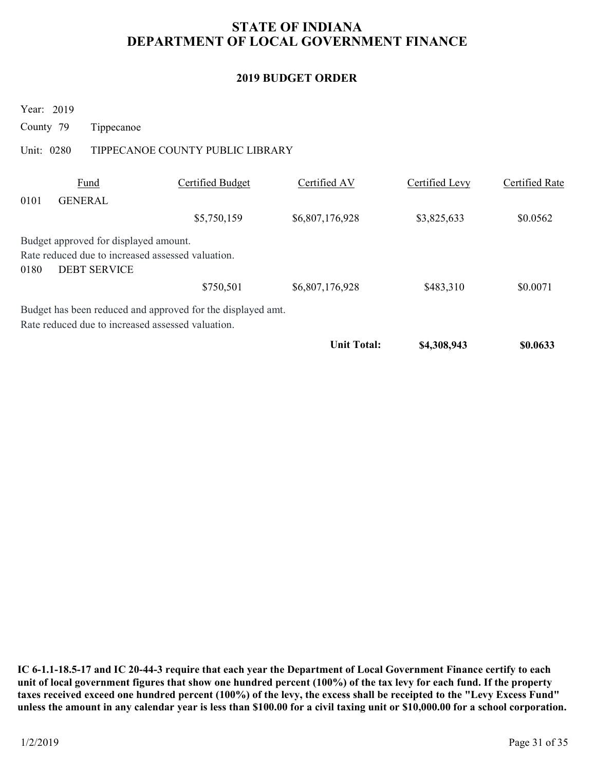# STATE OF INDIANA DEPARTMENT OF LOCAL GOVERNMENT FINANCE STATE OF INDIANA<br>
DEPARTMENT OF LOCAL GOVERNMENT I<br>
2019 BUDGET ORDER<br>
Year: 2019<br>
County 79 Tippecanoe<br>
Unit: 0280 TIPPECANOE COUNTY PUBLIC LIBRARY<br>
<u>Fund</u> Certified Budget Certified AV

### 2019 BUDGET ORDER

| <b>STATE OF INDIANA</b><br>DEPARTMENT OF LOCAL GOVERNMENT FINANCE |                                                                                                                   |                                                             |                          |                |                                   |  |  |  |
|-------------------------------------------------------------------|-------------------------------------------------------------------------------------------------------------------|-------------------------------------------------------------|--------------------------|----------------|-----------------------------------|--|--|--|
|                                                                   |                                                                                                                   |                                                             | <b>2019 BUDGET ORDER</b> |                |                                   |  |  |  |
| County 79                                                         | Year: 2019<br>Tippecanoe                                                                                          |                                                             |                          |                |                                   |  |  |  |
|                                                                   | Unit: 0280                                                                                                        | TIPPECANOE COUNTY PUBLIC LIBRARY                            |                          |                |                                   |  |  |  |
| 0101                                                              | Fund<br><b>GENERAL</b>                                                                                            | <b>Certified Budget</b>                                     | Certified AV             | Certified Levy | <b>Certified Rate</b><br>\$0.0562 |  |  |  |
| 0180                                                              | Budget approved for displayed amount.<br>Rate reduced due to increased assessed valuation.<br><b>DEBT SERVICE</b> | \$5,750,159                                                 | \$6,807,176,928          | \$3,825,633    |                                   |  |  |  |
|                                                                   |                                                                                                                   | \$750,501                                                   | \$6,807,176,928          | \$483,310      | \$0.0071                          |  |  |  |
|                                                                   | Rate reduced due to increased assessed valuation.                                                                 | Budget has been reduced and approved for the displayed amt. |                          |                |                                   |  |  |  |
|                                                                   |                                                                                                                   |                                                             | <b>Unit Total:</b>       | \$4,308,943    | \$0.0633                          |  |  |  |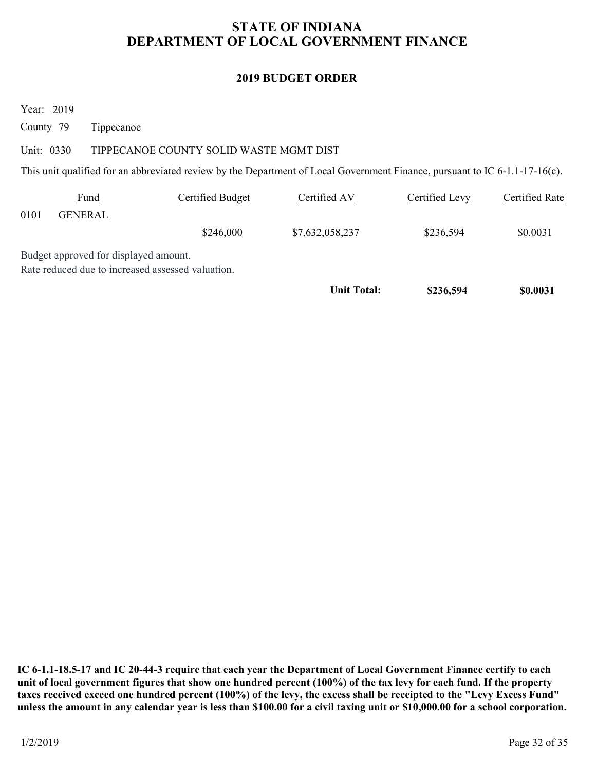# STATE OF INDIANA DEPARTMENT OF LOCAL GOVERNMENT FINANCE STATE OF INDIANA<br>
DEPARTMENT OF LOCAL GOVERNMENT I<br>
2019 BUDGET ORDER<br>
Year: 2019<br>
County 79 Tippecanoe<br>
Unit: 0330 TIPPECANOE COUNTY SOLID WASTE MGMT DIST<br>
This unit qualified for an abbreviated review by the Department o

### 2019 BUDGET ORDER

| <b>STATE OF INDIANA</b><br>DEPARTMENT OF LOCAL GOVERNMENT FINANCE |                                                                                            |                                         |                                                                                                                             |                |                       |  |  |
|-------------------------------------------------------------------|--------------------------------------------------------------------------------------------|-----------------------------------------|-----------------------------------------------------------------------------------------------------------------------------|----------------|-----------------------|--|--|
|                                                                   |                                                                                            |                                         | <b>2019 BUDGET ORDER</b>                                                                                                    |                |                       |  |  |
| Year: 2019<br>County 79                                           | Tippecanoe                                                                                 |                                         |                                                                                                                             |                |                       |  |  |
| Unit: 0330                                                        |                                                                                            | TIPPECANOE COUNTY SOLID WASTE MGMT DIST | This unit qualified for an abbreviated review by the Department of Local Government Finance, pursuant to IC 6-1.1-17-16(c). |                |                       |  |  |
| 0101                                                              | Fund<br><b>GENERAL</b>                                                                     | <b>Certified Budget</b>                 | Certified AV                                                                                                                | Certified Levy | <b>Certified Rate</b> |  |  |
|                                                                   |                                                                                            | \$246,000                               | \$7,632,058,237                                                                                                             | \$236,594      | \$0.0031              |  |  |
|                                                                   | Budget approved for displayed amount.<br>Rate reduced due to increased assessed valuation. |                                         | <b>Unit Total:</b>                                                                                                          | \$236,594      | \$0.0031              |  |  |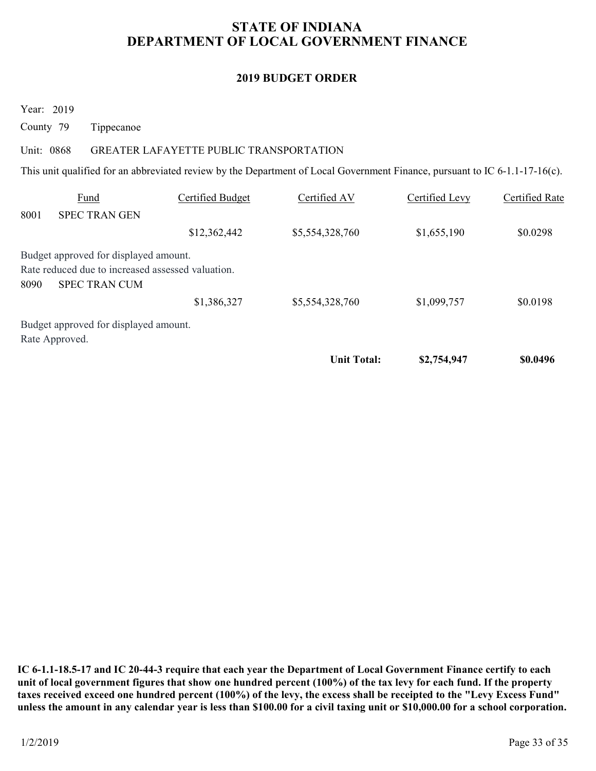# STATE OF INDIANA DEPARTMENT OF LOCAL GOVERNMENT FINANCE STATE OF INDIANA<br>
DEPARTMENT OF LOCAL GOVERNMENT I<br>
2019 BUDGET ORDER<br>
Year: 2019<br>
County 79 Tippecanoe<br>
Unit: 0868 GREATER LAFAYETTE PUBLIC TRANSPORTATION<br>
This unit qualified for an abbreviated review by the Department o

### 2019 BUDGET ORDER

| <b>STATE OF INDIANA</b><br>DEPARTMENT OF LOCAL GOVERNMENT FINANCE |                                                                                                             |                                         |                                                                                                                             |                |                       |  |  |
|-------------------------------------------------------------------|-------------------------------------------------------------------------------------------------------------|-----------------------------------------|-----------------------------------------------------------------------------------------------------------------------------|----------------|-----------------------|--|--|
|                                                                   |                                                                                                             |                                         | <b>2019 BUDGET ORDER</b>                                                                                                    |                |                       |  |  |
| County 79                                                         | Year: 2019<br>Tippecanoe                                                                                    |                                         |                                                                                                                             |                |                       |  |  |
|                                                                   | Unit: 0868                                                                                                  |                                         |                                                                                                                             |                |                       |  |  |
|                                                                   |                                                                                                             | GREATER LAFAYETTE PUBLIC TRANSPORTATION |                                                                                                                             |                |                       |  |  |
|                                                                   |                                                                                                             |                                         | This unit qualified for an abbreviated review by the Department of Local Government Finance, pursuant to IC 6-1.1-17-16(c). |                |                       |  |  |
|                                                                   | <b>Fund</b>                                                                                                 | <b>Certified Budget</b>                 | Certified AV                                                                                                                | Certified Levy | <b>Certified Rate</b> |  |  |
|                                                                   | <b>SPEC TRAN GEN</b>                                                                                        | \$12,362,442                            | \$5,554,328,760                                                                                                             | \$1,655,190    | \$0.0298              |  |  |
| 8001<br>8090                                                      | Budget approved for displayed amount.<br>Rate reduced due to increased assessed valuation.<br>SPEC TRAN CUM |                                         |                                                                                                                             |                |                       |  |  |
|                                                                   |                                                                                                             | \$1,386,327                             | \$5,554,328,760                                                                                                             | \$1,099,757    | \$0.0198              |  |  |
|                                                                   | Budget approved for displayed amount.<br>Rate Approved.                                                     |                                         |                                                                                                                             |                |                       |  |  |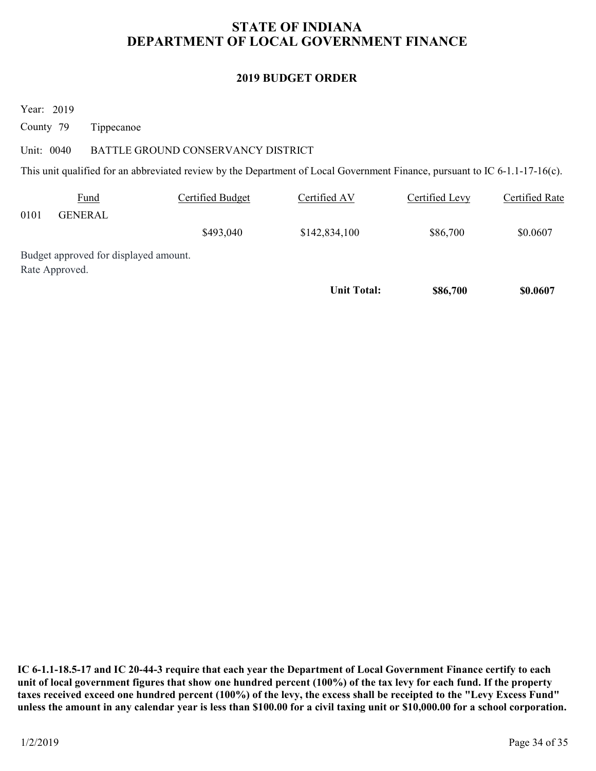# STATE OF INDIANA DEPARTMENT OF LOCAL GOVERNMENT FINANCE STATE OF INDIANA<br>
DEPARTMENT OF LOCAL GOVERNMENT I<br>
2019 BUDGET ORDER<br>
Year: 2019<br>
County 79 Tippecanoe<br>
Unit: 0040 BATTLE GROUND CONSERVANCY DISTRICT<br>
This unit qualified for an abbreviated review by the Department of Loc

### 2019 BUDGET ORDER

| <b>STATE OF INDIANA</b><br>DEPARTMENT OF LOCAL GOVERNMENT FINANCE |                                       |                                    |                                                                                                                             |                |                       |  |  |
|-------------------------------------------------------------------|---------------------------------------|------------------------------------|-----------------------------------------------------------------------------------------------------------------------------|----------------|-----------------------|--|--|
|                                                                   |                                       |                                    | <b>2019 BUDGET ORDER</b>                                                                                                    |                |                       |  |  |
| Year: 2019<br>County 79<br>Unit: 0040                             | Tippecanoe                            | BATTLE GROUND CONSERVANCY DISTRICT |                                                                                                                             |                |                       |  |  |
|                                                                   |                                       |                                    | This unit qualified for an abbreviated review by the Department of Local Government Finance, pursuant to IC 6-1.1-17-16(c). |                |                       |  |  |
|                                                                   | Fund                                  | <b>Certified Budget</b>            | Certified AV                                                                                                                | Certified Levy | <b>Certified Rate</b> |  |  |
| 0101                                                              | <b>GENERAL</b>                        | \$493,040                          | \$142,834,100                                                                                                               | \$86,700       | \$0.0607              |  |  |
| Rate Approved.                                                    | Budget approved for displayed amount. |                                    |                                                                                                                             |                |                       |  |  |
|                                                                   |                                       |                                    |                                                                                                                             | \$86,700       | \$0.0607              |  |  |